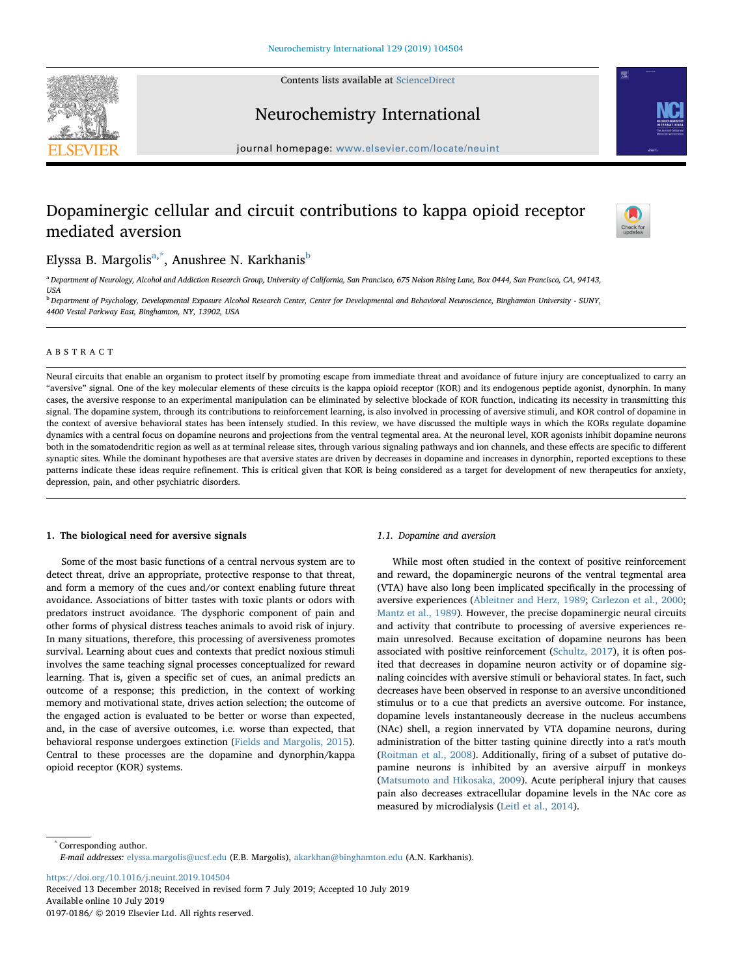Contents lists available at [ScienceDirect](http://www.sciencedirect.com/science/journal/01970186)





Neurochemistry International

journal homepage: [www.elsevier.com/locate/neuint](https://www.elsevier.com/locate/neuint)

# Dopaminergic cellular and circuit contributions to kappa opioid receptor mediated aversion



## Elyss[a](#page-0-0) B. Margolis<sup>a[,\\*](#page-0-1)</sup>, Anushree N. Karkhanis<sup>[b](#page-0-2)</sup>

<span id="page-0-0"></span><sup>a</sup> Department of Neurology, Alcohol and Addiction Research Group, University of California, San Francisco, 675 Nelson Rising Lane, Box 0444, San Francisco, CA, 94143, USA

<span id="page-0-2"></span><sup>b</sup> Department of Psychology, Developmental Exposure Alcohol Research Center, Center for Developmental and Behavioral Neuroscience, Binghamton University - SUNY, 4400 Vestal Parkway East, Binghamton, NY, 13902, USA

## ABSTRACT

Neural circuits that enable an organism to protect itself by promoting escape from immediate threat and avoidance of future injury are conceptualized to carry an "aversive" signal. One of the key molecular elements of these circuits is the kappa opioid receptor (KOR) and its endogenous peptide agonist, dynorphin. In many cases, the aversive response to an experimental manipulation can be eliminated by selective blockade of KOR function, indicating its necessity in transmitting this signal. The dopamine system, through its contributions to reinforcement learning, is also involved in processing of aversive stimuli, and KOR control of dopamine in the context of aversive behavioral states has been intensely studied. In this review, we have discussed the multiple ways in which the KORs regulate dopamine dynamics with a central focus on dopamine neurons and projections from the ventral tegmental area. At the neuronal level, KOR agonists inhibit dopamine neurons both in the somatodendritic region as well as at terminal release sites, through various signaling pathways and ion channels, and these effects are specific to different synaptic sites. While the dominant hypotheses are that aversive states are driven by decreases in dopamine and increases in dynorphin, reported exceptions to these patterns indicate these ideas require refinement. This is critical given that KOR is being considered as a target for development of new therapeutics for anxiety, depression, pain, and other psychiatric disorders.

#### 1. The biological need for aversive signals

Some of the most basic functions of a central nervous system are to detect threat, drive an appropriate, protective response to that threat, and form a memory of the cues and/or context enabling future threat avoidance. Associations of bitter tastes with toxic plants or odors with predators instruct avoidance. The dysphoric component of pain and other forms of physical distress teaches animals to avoid risk of injury. In many situations, therefore, this processing of aversiveness promotes survival. Learning about cues and contexts that predict noxious stimuli involves the same teaching signal processes conceptualized for reward learning. That is, given a specific set of cues, an animal predicts an outcome of a response; this prediction, in the context of working memory and motivational state, drives action selection; the outcome of the engaged action is evaluated to be better or worse than expected, and, in the case of aversive outcomes, i.e. worse than expected, that behavioral response undergoes extinction ([Fields and Margolis, 2015](#page-8-0)). Central to these processes are the dopamine and dynorphin/kappa opioid receptor (KOR) systems.

#### 1.1. Dopamine and aversion

While most often studied in the context of positive reinforcement and reward, the dopaminergic neurons of the ventral tegmental area (VTA) have also long been implicated specifically in the processing of aversive experiences [\(Ableitner and Herz, 1989;](#page-7-0) [Carlezon et al., 2000](#page-7-1); [Mantz et al., 1989](#page-8-1)). However, the precise dopaminergic neural circuits and activity that contribute to processing of aversive experiences remain unresolved. Because excitation of dopamine neurons has been associated with positive reinforcement ([Schultz, 2017](#page-9-0)), it is often posited that decreases in dopamine neuron activity or of dopamine signaling coincides with aversive stimuli or behavioral states. In fact, such decreases have been observed in response to an aversive unconditioned stimulus or to a cue that predicts an aversive outcome. For instance, dopamine levels instantaneously decrease in the nucleus accumbens (NAc) shell, a region innervated by VTA dopamine neurons, during administration of the bitter tasting quinine directly into a rat's mouth ([Roitman et al., 2008\)](#page-9-1). Additionally, firing of a subset of putative dopamine neurons is inhibited by an aversive airpuff in monkeys ([Matsumoto and Hikosaka, 2009\)](#page-9-2). Acute peripheral injury that causes pain also decreases extracellular dopamine levels in the NAc core as measured by microdialysis ([Leitl et al., 2014\)](#page-8-2).

<span id="page-0-1"></span>\* Corresponding author. E-mail addresses: [elyssa.margolis@ucsf.edu](mailto:elyssa.margolis@ucsf.edu) (E.B. Margolis), [akarkhan@binghamton.edu](mailto:akarkhan@binghamton.edu) (A.N. Karkhanis).

<https://doi.org/10.1016/j.neuint.2019.104504>

Received 13 December 2018; Received in revised form 7 July 2019; Accepted 10 July 2019 Available online 10 July 2019 0197-0186/ © 2019 Elsevier Ltd. All rights reserved.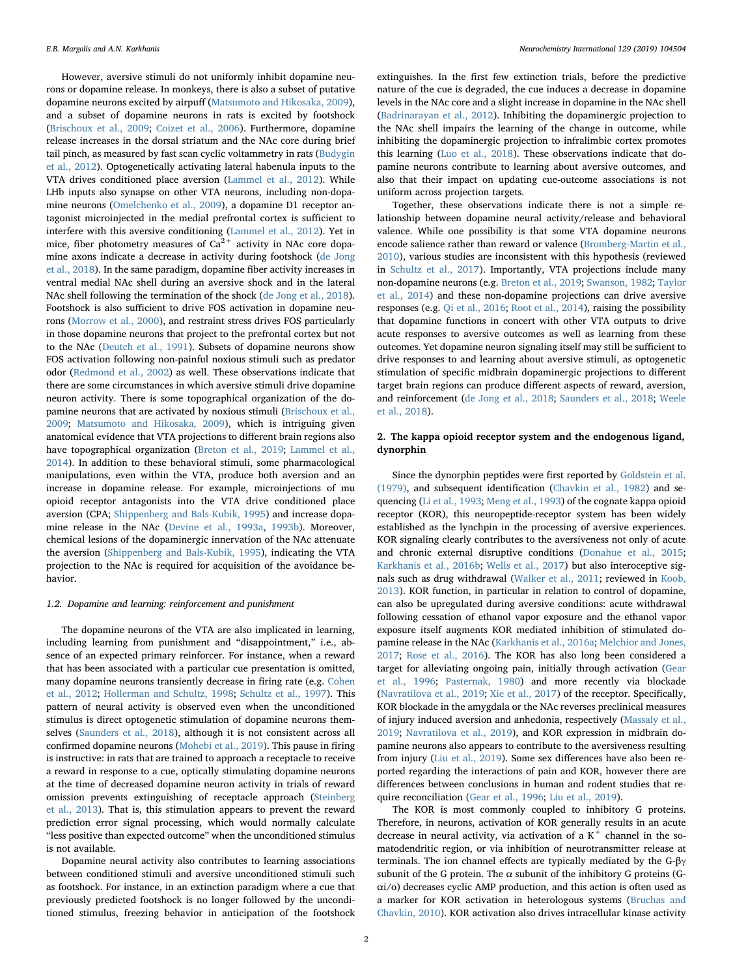However, aversive stimuli do not uniformly inhibit dopamine neurons or dopamine release. In monkeys, there is also a subset of putative dopamine neurons excited by airpuff ([Matsumoto and Hikosaka, 2009](#page-9-2)), and a subset of dopamine neurons in rats is excited by footshock ([Brischoux et al., 2009](#page-7-2); [Coizet et al., 2006\)](#page-7-3). Furthermore, dopamine release increases in the dorsal striatum and the NAc core during brief tail pinch, as measured by fast scan cyclic voltammetry in rats [\(Budygin](#page-7-4) [et al., 2012\)](#page-7-4). Optogenetically activating lateral habenula inputs to the VTA drives conditioned place aversion [\(Lammel et al., 2012](#page-8-3)). While LHb inputs also synapse on other VTA neurons, including non-dopamine neurons ([Omelchenko et al., 2009](#page-9-3)), a dopamine D1 receptor antagonist microinjected in the medial prefrontal cortex is sufficient to interfere with this aversive conditioning [\(Lammel et al., 2012](#page-8-3)). Yet in mice, fiber photometry measures of  $Ca^{2+}$  activity in NAc core dopamine axons indicate a decrease in activity during footshock [\(de Jong](#page-7-5) [et al., 2018\)](#page-7-5). In the same paradigm, dopamine fiber activity increases in ventral medial NAc shell during an aversive shock and in the lateral NAc shell following the termination of the shock ([de Jong et al., 2018](#page-7-5)). Footshock is also sufficient to drive FOS activation in dopamine neurons [\(Morrow et al., 2000](#page-7-6)), and restraint stress drives FOS particularly in those dopamine neurons that project to the prefrontal cortex but not to the NAc [\(Deutch et al., 1991](#page-7-7)). Subsets of dopamine neurons show FOS activation following non-painful noxious stimuli such as predator odor ([Redmond et al., 2002](#page-9-4)) as well. These observations indicate that there are some circumstances in which aversive stimuli drive dopamine neuron activity. There is some topographical organization of the dopamine neurons that are activated by noxious stimuli ([Brischoux et al.,](#page-7-2) [2009;](#page-7-2) [Matsumoto and Hikosaka, 2009\)](#page-9-2), which is intriguing given anatomical evidence that VTA projections to different brain regions also have topographical organization ([Breton et al., 2019](#page-7-8); [Lammel et al.,](#page-8-4) [2014\)](#page-8-4). In addition to these behavioral stimuli, some pharmacological manipulations, even within the VTA, produce both aversion and an increase in dopamine release. For example, microinjections of mu opioid receptor antagonists into the VTA drive conditioned place aversion (CPA; [Shippenberg and Bals-Kubik, 1995\)](#page-9-5) and increase dopamine release in the NAc [\(Devine et al., 1993a](#page-7-9), [1993b\)](#page-7-10). Moreover, chemical lesions of the dopaminergic innervation of the NAc attenuate the aversion ([Shippenberg and Bals-Kubik, 1995](#page-9-5)), indicating the VTA projection to the NAc is required for acquisition of the avoidance behavior.

#### 1.2. Dopamine and learning: reinforcement and punishment

The dopamine neurons of the VTA are also implicated in learning, including learning from punishment and "disappointment," i.e., absence of an expected primary reinforcer. For instance, when a reward that has been associated with a particular cue presentation is omitted, many dopamine neurons transiently decrease in firing rate (e.g. [Cohen](#page-7-11) [et al., 2012](#page-7-11); [Hollerman and Schultz, 1998;](#page-8-5) [Schultz et al., 1997](#page-9-6)). This pattern of neural activity is observed even when the unconditioned stimulus is direct optogenetic stimulation of dopamine neurons themselves ([Saunders et al., 2018\)](#page-9-7), although it is not consistent across all confirmed dopamine neurons ([Mohebi et al., 2019\)](#page-9-8). This pause in firing is instructive: in rats that are trained to approach a receptacle to receive a reward in response to a cue, optically stimulating dopamine neurons at the time of decreased dopamine neuron activity in trials of reward omission prevents extinguishing of receptacle approach [\(Steinberg](#page-9-9) [et al., 2013\)](#page-9-9). That is, this stimulation appears to prevent the reward prediction error signal processing, which would normally calculate "less positive than expected outcome" when the unconditioned stimulus is not available.

Dopamine neural activity also contributes to learning associations between conditioned stimuli and aversive unconditioned stimuli such as footshock. For instance, in an extinction paradigm where a cue that previously predicted footshock is no longer followed by the unconditioned stimulus, freezing behavior in anticipation of the footshock

extinguishes. In the first few extinction trials, before the predictive nature of the cue is degraded, the cue induces a decrease in dopamine levels in the NAc core and a slight increase in dopamine in the NAc shell ([Badrinarayan et al., 2012\)](#page-7-12). Inhibiting the dopaminergic projection to the NAc shell impairs the learning of the change in outcome, while inhibiting the dopaminergic projection to infralimbic cortex promotes this learning [\(Luo et al., 2018](#page-8-6)). These observations indicate that dopamine neurons contribute to learning about aversive outcomes, and also that their impact on updating cue-outcome associations is not uniform across projection targets.

Together, these observations indicate there is not a simple relationship between dopamine neural activity/release and behavioral valence. While one possibility is that some VTA dopamine neurons encode salience rather than reward or valence ([Bromberg-Martin et al.,](#page-7-13) [2010\)](#page-7-13), various studies are inconsistent with this hypothesis (reviewed in [Schultz et al., 2017\)](#page-9-10). Importantly, VTA projections include many non-dopamine neurons (e.g. [Breton et al., 2019;](#page-7-8) [Swanson, 1982](#page-9-11); [Taylor](#page-9-12) [et al., 2014](#page-9-12)) and these non-dopamine projections can drive aversive responses (e.g. [Qi et al., 2016](#page-9-13); [Root et al., 2014](#page-9-14)), raising the possibility that dopamine functions in concert with other VTA outputs to drive acute responses to aversive outcomes as well as learning from these outcomes. Yet dopamine neuron signaling itself may still be sufficient to drive responses to and learning about aversive stimuli, as optogenetic stimulation of specific midbrain dopaminergic projections to different target brain regions can produce different aspects of reward, aversion, and reinforcement ([de Jong et al., 2018](#page-7-5); [Saunders et al., 2018](#page-9-7); [Weele](#page-10-0) [et al., 2018](#page-10-0)).

## 2. The kappa opioid receptor system and the endogenous ligand, dynorphin

Since the dynorphin peptides were first reported by [Goldstein et al.](#page-8-7) [\(1979\),](#page-8-7) and subsequent identification ([Chavkin et al., 1982\)](#page-7-14) and sequencing ([Li et al., 1993](#page-8-8); [Meng et al., 1993](#page-9-15)) of the cognate kappa opioid receptor (KOR), this neuropeptide-receptor system has been widely established as the lynchpin in the processing of aversive experiences. KOR signaling clearly contributes to the aversiveness not only of acute and chronic external disruptive conditions ([Donahue et al., 2015](#page-7-15); [Karkhanis et al., 2016b](#page-8-9); [Wells et al., 2017\)](#page-10-1) but also interoceptive signals such as drug withdrawal ([Walker et al., 2011](#page-10-2); reviewed in [Koob,](#page-8-10) [2013\)](#page-8-10). KOR function, in particular in relation to control of dopamine, can also be upregulated during aversive conditions: acute withdrawal following cessation of ethanol vapor exposure and the ethanol vapor exposure itself augments KOR mediated inhibition of stimulated dopamine release in the NAc ([Karkhanis et al., 2016a](#page-8-11); [Melchior and Jones,](#page-9-16) [2017;](#page-9-16) [Rose et al., 2016\)](#page-9-17). The KOR has also long been considered a target for alleviating ongoing pain, initially through activation [\(Gear](#page-8-12) [et al., 1996](#page-8-12); [Pasternak, 1980\)](#page-9-18) and more recently via blockade ([Navratilova et al., 2019;](#page-9-19) [Xie et al., 2017\)](#page-10-3) of the receptor. Specifically, KOR blockade in the amygdala or the NAc reverses preclinical measures of injury induced aversion and anhedonia, respectively [\(Massaly et al.,](#page-9-20) [2019;](#page-9-20) [Navratilova et al., 2019](#page-9-19)), and KOR expression in midbrain dopamine neurons also appears to contribute to the aversiveness resulting from injury ([Liu et al., 2019\)](#page-8-13). Some sex differences have also been reported regarding the interactions of pain and KOR, however there are differences between conclusions in human and rodent studies that require reconciliation ([Gear et al., 1996;](#page-8-12) [Liu et al., 2019](#page-8-13)).

The KOR is most commonly coupled to inhibitory G proteins. Therefore, in neurons, activation of KOR generally results in an acute decrease in neural activity, via activation of a  $K^+$  channel in the somatodendritic region, or via inhibition of neurotransmitter release at terminals. The ion channel effects are typically mediated by the G-βγ subunit of the G protein. The  $\alpha$  subunit of the inhibitory G proteins (Gαi/o) decreases cyclic AMP production, and this action is often used as a marker for KOR activation in heterologous systems ([Bruchas and](#page-7-16) [Chavkin, 2010](#page-7-16)). KOR activation also drives intracellular kinase activity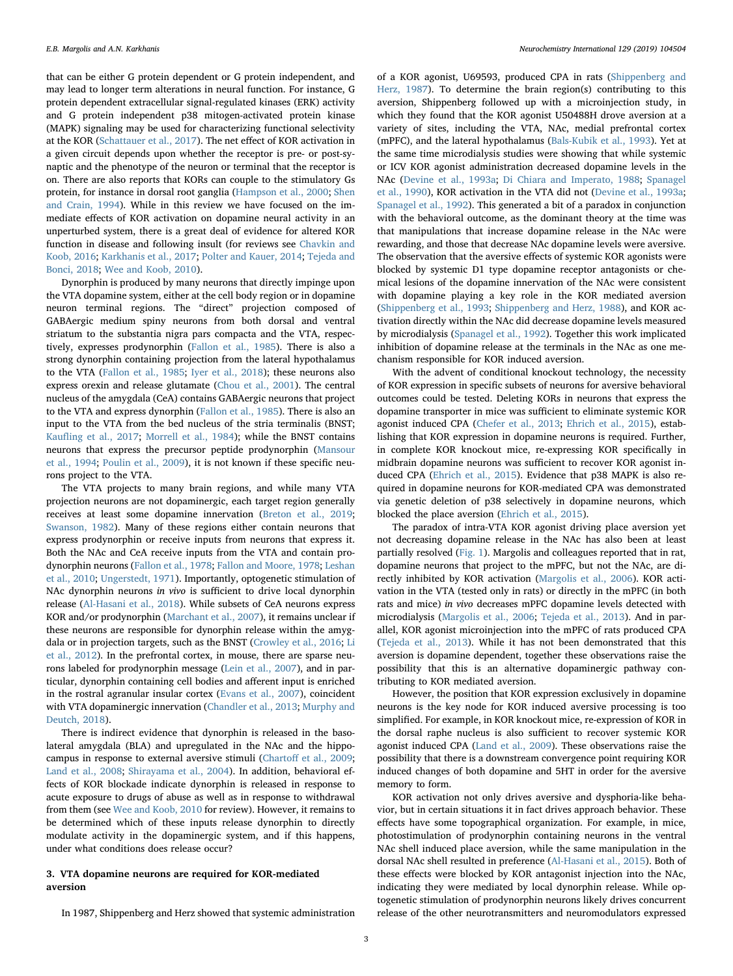that can be either G protein dependent or G protein independent, and may lead to longer term alterations in neural function. For instance, G protein dependent extracellular signal-regulated kinases (ERK) activity and G protein independent p38 mitogen-activated protein kinase (MAPK) signaling may be used for characterizing functional selectivity at the KOR ([Schattauer et al., 2017](#page-9-21)). The net effect of KOR activation in a given circuit depends upon whether the receptor is pre- or post-synaptic and the phenotype of the neuron or terminal that the receptor is on. There are also reports that KORs can couple to the stimulatory Gs protein, for instance in dorsal root ganglia ([Hampson et al., 2000](#page-8-14); [Shen](#page-9-22) [and Crain, 1994](#page-9-22)). While in this review we have focused on the immediate effects of KOR activation on dopamine neural activity in an unperturbed system, there is a great deal of evidence for altered KOR function in disease and following insult (for reviews see [Chavkin and](#page-7-17) [Koob, 2016](#page-7-17); [Karkhanis et al., 2017;](#page-8-15) [Polter and Kauer, 2014;](#page-9-23) [Tejeda and](#page-9-24) [Bonci, 2018](#page-9-24); [Wee and Koob, 2010\)](#page-10-4).

Dynorphin is produced by many neurons that directly impinge upon the VTA dopamine system, either at the cell body region or in dopamine neuron terminal regions. The "direct" projection composed of GABAergic medium spiny neurons from both dorsal and ventral striatum to the substantia nigra pars compacta and the VTA, respectively, expresses prodynorphin ([Fallon et al., 1985](#page-8-16)). There is also a strong dynorphin containing projection from the lateral hypothalamus to the VTA ([Fallon et al., 1985](#page-8-16); [Iyer et al., 2018\)](#page-8-17); these neurons also express orexin and release glutamate ([Chou et al., 2001\)](#page-7-18). The central nucleus of the amygdala (CeA) contains GABAergic neurons that project to the VTA and express dynorphin ([Fallon et al., 1985](#page-8-16)). There is also an input to the VTA from the bed nucleus of the stria terminalis (BNST; Kaufl[ing et al., 2017;](#page-8-18) [Morrell et al., 1984](#page-9-25)); while the BNST contains neurons that express the precursor peptide prodynorphin ([Mansour](#page-8-19) [et al., 1994;](#page-8-19) [Poulin et al., 2009](#page-9-26)), it is not known if these specific neurons project to the VTA.

The VTA projects to many brain regions, and while many VTA projection neurons are not dopaminergic, each target region generally receives at least some dopamine innervation ([Breton et al., 2019](#page-7-8); [Swanson, 1982\)](#page-9-11). Many of these regions either contain neurons that express prodynorphin or receive inputs from neurons that express it. Both the NAc and CeA receive inputs from the VTA and contain prodynorphin neurons [\(Fallon et al., 1978](#page-7-19); [Fallon and Moore, 1978](#page-7-20); [Leshan](#page-8-20) [et al., 2010](#page-8-20); [Ungerstedt, 1971\)](#page-10-5). Importantly, optogenetic stimulation of NAc dynorphin neurons in vivo is sufficient to drive local dynorphin release (Al-Hasani [et al., 2018\)](#page-7-21). While subsets of CeA neurons express KOR and/or prodynorphin ([Marchant et al., 2007](#page-8-21)), it remains unclear if these neurons are responsible for dynorphin release within the amygdala or in projection targets, such as the BNST [\(Crowley et al., 2016;](#page-7-22) [Li](#page-8-22) [et al., 2012\)](#page-8-22). In the prefrontal cortex, in mouse, there are sparse neurons labeled for prodynorphin message ([Lein et al., 2007](#page-8-23)), and in particular, dynorphin containing cell bodies and afferent input is enriched in the rostral agranular insular cortex [\(Evans et al., 2007\)](#page-7-23), coincident with VTA dopaminergic innervation ([Chandler et al., 2013;](#page-7-24) [Murphy and](#page-9-27) [Deutch, 2018](#page-9-27)).

There is indirect evidence that dynorphin is released in the basolateral amygdala (BLA) and upregulated in the NAc and the hippocampus in response to external aversive stimuli (Chartoff [et al., 2009](#page-7-25); [Land et al., 2008](#page-8-24); [Shirayama et al., 2004](#page-9-28)). In addition, behavioral effects of KOR blockade indicate dynorphin is released in response to acute exposure to drugs of abuse as well as in response to withdrawal from them (see [Wee and Koob, 2010](#page-10-4) for review). However, it remains to be determined which of these inputs release dynorphin to directly modulate activity in the dopaminergic system, and if this happens, under what conditions does release occur?

## 3. VTA dopamine neurons are required for KOR-mediated aversion

of a KOR agonist, U69593, produced CPA in rats ([Shippenberg and](#page-9-29) [Herz, 1987\)](#page-9-29). To determine the brain region(s) contributing to this aversion, Shippenberg followed up with a microinjection study, in which they found that the KOR agonist U50488H drove aversion at a variety of sites, including the VTA, NAc, medial prefrontal cortex (mPFC), and the lateral hypothalamus [\(Bals-Kubik et al., 1993\)](#page-7-26). Yet at the same time microdialysis studies were showing that while systemic or ICV KOR agonist administration decreased dopamine levels in the NAc [\(Devine et al., 1993a](#page-7-9); [Di Chiara and Imperato, 1988](#page-7-27); [Spanagel](#page-9-30) [et al., 1990](#page-9-30)), KOR activation in the VTA did not ([Devine et al., 1993a](#page-7-9); [Spanagel et al., 1992\)](#page-9-31). This generated a bit of a paradox in conjunction with the behavioral outcome, as the dominant theory at the time was that manipulations that increase dopamine release in the NAc were rewarding, and those that decrease NAc dopamine levels were aversive. The observation that the aversive effects of systemic KOR agonists were blocked by systemic D1 type dopamine receptor antagonists or chemical lesions of the dopamine innervation of the NAc were consistent with dopamine playing a key role in the KOR mediated aversion ([Shippenberg et al., 1993](#page-9-32); [Shippenberg and Herz, 1988\)](#page-9-33), and KOR activation directly within the NAc did decrease dopamine levels measured by microdialysis ([Spanagel et al., 1992\)](#page-9-31). Together this work implicated inhibition of dopamine release at the terminals in the NAc as one mechanism responsible for KOR induced aversion.

With the advent of conditional knockout technology, the necessity of KOR expression in specific subsets of neurons for aversive behavioral outcomes could be tested. Deleting KORs in neurons that express the dopamine transporter in mice was sufficient to eliminate systemic KOR agonist induced CPA [\(Chefer et al., 2013](#page-7-28); [Ehrich et al., 2015](#page-7-29)), establishing that KOR expression in dopamine neurons is required. Further, in complete KOR knockout mice, re-expressing KOR specifically in midbrain dopamine neurons was sufficient to recover KOR agonist induced CPA ([Ehrich et al., 2015\)](#page-7-29). Evidence that p38 MAPK is also required in dopamine neurons for KOR-mediated CPA was demonstrated via genetic deletion of p38 selectively in dopamine neurons, which blocked the place aversion [\(Ehrich et al., 2015\)](#page-7-29).

The paradox of intra-VTA KOR agonist driving place aversion yet not decreasing dopamine release in the NAc has also been at least partially resolved [\(Fig. 1](#page-3-0)). Margolis and colleagues reported that in rat, dopamine neurons that project to the mPFC, but not the NAc, are directly inhibited by KOR activation [\(Margolis et al., 2006](#page-9-34)). KOR activation in the VTA (tested only in rats) or directly in the mPFC (in both rats and mice) in vivo decreases mPFC dopamine levels detected with microdialysis [\(Margolis et al., 2006](#page-9-34); [Tejeda et al., 2013\)](#page-9-35). And in parallel, KOR agonist microinjection into the mPFC of rats produced CPA ([Tejeda et al., 2013](#page-9-35)). While it has not been demonstrated that this aversion is dopamine dependent, together these observations raise the possibility that this is an alternative dopaminergic pathway contributing to KOR mediated aversion.

However, the position that KOR expression exclusively in dopamine neurons is the key node for KOR induced aversive processing is too simplified. For example, in KOR knockout mice, re-expression of KOR in the dorsal raphe nucleus is also sufficient to recover systemic KOR agonist induced CPA ([Land et al., 2009](#page-8-25)). These observations raise the possibility that there is a downstream convergence point requiring KOR induced changes of both dopamine and 5HT in order for the aversive memory to form.

KOR activation not only drives aversive and dysphoria-like behavior, but in certain situations it in fact drives approach behavior. These effects have some topographical organization. For example, in mice, photostimulation of prodynorphin containing neurons in the ventral NAc shell induced place aversion, while the same manipulation in the dorsal NAc shell resulted in preference [\(Al-Hasani et al., 2015\)](#page-7-30). Both of these effects were blocked by KOR antagonist injection into the NAc, indicating they were mediated by local dynorphin release. While optogenetic stimulation of prodynorphin neurons likely drives concurrent release of the other neurotransmitters and neuromodulators expressed

In 1987, Shippenberg and Herz showed that systemic administration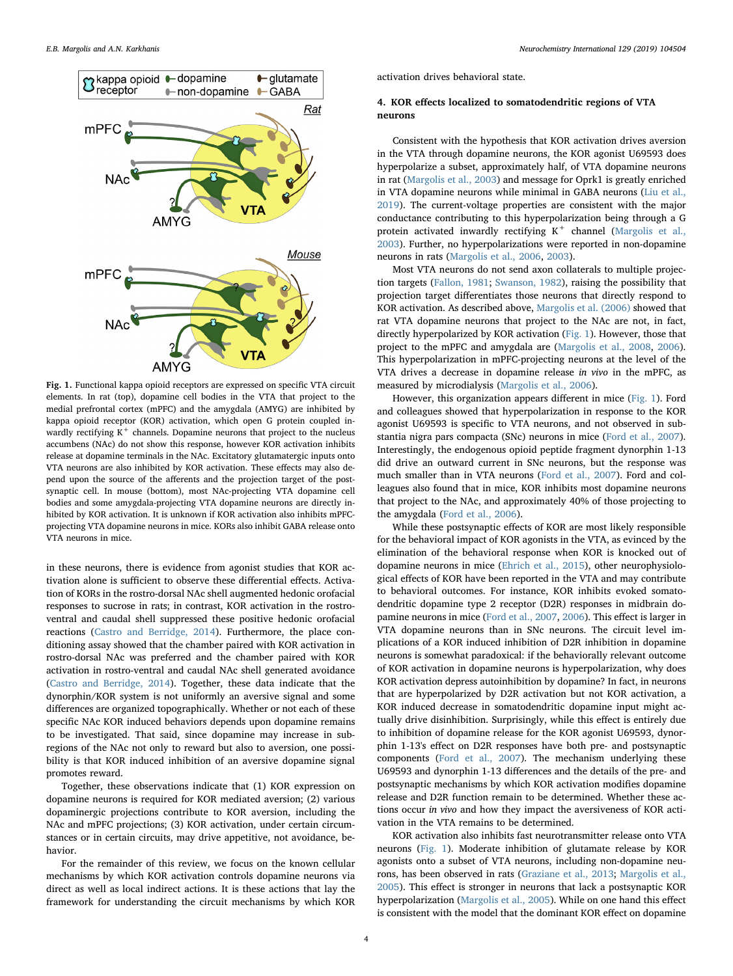<span id="page-3-0"></span>

Fig. 1. Functional kappa opioid receptors are expressed on specific VTA circuit elements. In rat (top), dopamine cell bodies in the VTA that project to the medial prefrontal cortex (mPFC) and the amygdala (AMYG) are inhibited by kappa opioid receptor (KOR) activation, which open G protein coupled inwardly rectifying  $K^+$  channels. Dopamine neurons that project to the nucleus accumbens (NAc) do not show this response, however KOR activation inhibits release at dopamine terminals in the NAc. Excitatory glutamatergic inputs onto VTA neurons are also inhibited by KOR activation. These effects may also depend upon the source of the afferents and the projection target of the postsynaptic cell. In mouse (bottom), most NAc-projecting VTA dopamine cell bodies and some amygdala-projecting VTA dopamine neurons are directly inhibited by KOR activation. It is unknown if KOR activation also inhibits mPFCprojecting VTA dopamine neurons in mice. KORs also inhibit GABA release onto VTA neurons in mice.

in these neurons, there is evidence from agonist studies that KOR activation alone is sufficient to observe these differential effects. Activation of KORs in the rostro-dorsal NAc shell augmented hedonic orofacial responses to sucrose in rats; in contrast, KOR activation in the rostroventral and caudal shell suppressed these positive hedonic orofacial reactions ([Castro and Berridge, 2014](#page-7-31)). Furthermore, the place conditioning assay showed that the chamber paired with KOR activation in rostro-dorsal NAc was preferred and the chamber paired with KOR activation in rostro-ventral and caudal NAc shell generated avoidance ([Castro and Berridge, 2014](#page-7-31)). Together, these data indicate that the dynorphin/KOR system is not uniformly an aversive signal and some differences are organized topographically. Whether or not each of these specific NAc KOR induced behaviors depends upon dopamine remains to be investigated. That said, since dopamine may increase in subregions of the NAc not only to reward but also to aversion, one possibility is that KOR induced inhibition of an aversive dopamine signal promotes reward.

Together, these observations indicate that (1) KOR expression on dopamine neurons is required for KOR mediated aversion; (2) various dopaminergic projections contribute to KOR aversion, including the NAc and mPFC projections; (3) KOR activation, under certain circumstances or in certain circuits, may drive appetitive, not avoidance, behavior.

For the remainder of this review, we focus on the known cellular mechanisms by which KOR activation controls dopamine neurons via direct as well as local indirect actions. It is these actions that lay the framework for understanding the circuit mechanisms by which KOR activation drives behavioral state.

## 4. KOR effects localized to somatodendritic regions of VTA neurons

Consistent with the hypothesis that KOR activation drives aversion in the VTA through dopamine neurons, the KOR agonist U69593 does hyperpolarize a subset, approximately half, of VTA dopamine neurons in rat ([Margolis et al., 2003\)](#page-9-36) and message for Oprk1 is greatly enriched in VTA dopamine neurons while minimal in GABA neurons ([Liu et al.,](#page-8-13) [2019\)](#page-8-13). The current-voltage properties are consistent with the major conductance contributing to this hyperpolarization being through a G protein activated inwardly rectifying  $K^+$  channel ([Margolis et al.,](#page-9-36) [2003\)](#page-9-36). Further, no hyperpolarizations were reported in non-dopamine neurons in rats ([Margolis et al., 2006,](#page-9-34) [2003\)](#page-9-36).

Most VTA neurons do not send axon collaterals to multiple projection targets ([Fallon, 1981;](#page-7-32) [Swanson, 1982](#page-9-11)), raising the possibility that projection target differentiates those neurons that directly respond to KOR activation. As described above, [Margolis et al. \(2006\)](#page-9-34) showed that rat VTA dopamine neurons that project to the NAc are not, in fact, directly hyperpolarized by KOR activation ([Fig. 1\)](#page-3-0). However, those that project to the mPFC and amygdala are ([Margolis et al., 2008](#page-9-37), [2006](#page-9-34)). This hyperpolarization in mPFC-projecting neurons at the level of the VTA drives a decrease in dopamine release in vivo in the mPFC, as measured by microdialysis ([Margolis et al., 2006\)](#page-9-34).

However, this organization appears different in mice [\(Fig. 1](#page-3-0)). Ford and colleagues showed that hyperpolarization in response to the KOR agonist U69593 is specific to VTA neurons, and not observed in substantia nigra pars compacta (SNc) neurons in mice ([Ford et al., 2007](#page-8-26)). Interestingly, the endogenous opioid peptide fragment dynorphin 1-13 did drive an outward current in SNc neurons, but the response was much smaller than in VTA neurons ([Ford et al., 2007\)](#page-8-26). Ford and colleagues also found that in mice, KOR inhibits most dopamine neurons that project to the NAc, and approximately 40% of those projecting to the amygdala [\(Ford et al., 2006\)](#page-8-27).

While these postsynaptic effects of KOR are most likely responsible for the behavioral impact of KOR agonists in the VTA, as evinced by the elimination of the behavioral response when KOR is knocked out of dopamine neurons in mice ([Ehrich et al., 2015](#page-7-29)), other neurophysiological effects of KOR have been reported in the VTA and may contribute to behavioral outcomes. For instance, KOR inhibits evoked somatodendritic dopamine type 2 receptor (D2R) responses in midbrain dopamine neurons in mice [\(Ford et al., 2007,](#page-8-26) [2006](#page-8-27)). This effect is larger in VTA dopamine neurons than in SNc neurons. The circuit level implications of a KOR induced inhibition of D2R inhibition in dopamine neurons is somewhat paradoxical: if the behaviorally relevant outcome of KOR activation in dopamine neurons is hyperpolarization, why does KOR activation depress autoinhibition by dopamine? In fact, in neurons that are hyperpolarized by D2R activation but not KOR activation, a KOR induced decrease in somatodendritic dopamine input might actually drive disinhibition. Surprisingly, while this effect is entirely due to inhibition of dopamine release for the KOR agonist U69593, dynorphin 1-13's effect on D2R responses have both pre- and postsynaptic components ([Ford et al., 2007](#page-8-26)). The mechanism underlying these U69593 and dynorphin 1-13 differences and the details of the pre- and postsynaptic mechanisms by which KOR activation modifies dopamine release and D2R function remain to be determined. Whether these actions occur in vivo and how they impact the aversiveness of KOR activation in the VTA remains to be determined.

KOR activation also inhibits fast neurotransmitter release onto VTA neurons ([Fig. 1\)](#page-3-0). Moderate inhibition of glutamate release by KOR agonists onto a subset of VTA neurons, including non-dopamine neurons, has been observed in rats ([Graziane et al., 2013;](#page-8-28) [Margolis et al.,](#page-9-38) [2005\)](#page-9-38). This effect is stronger in neurons that lack a postsynaptic KOR hyperpolarization ([Margolis et al., 2005](#page-9-38)). While on one hand this effect is consistent with the model that the dominant KOR effect on dopamine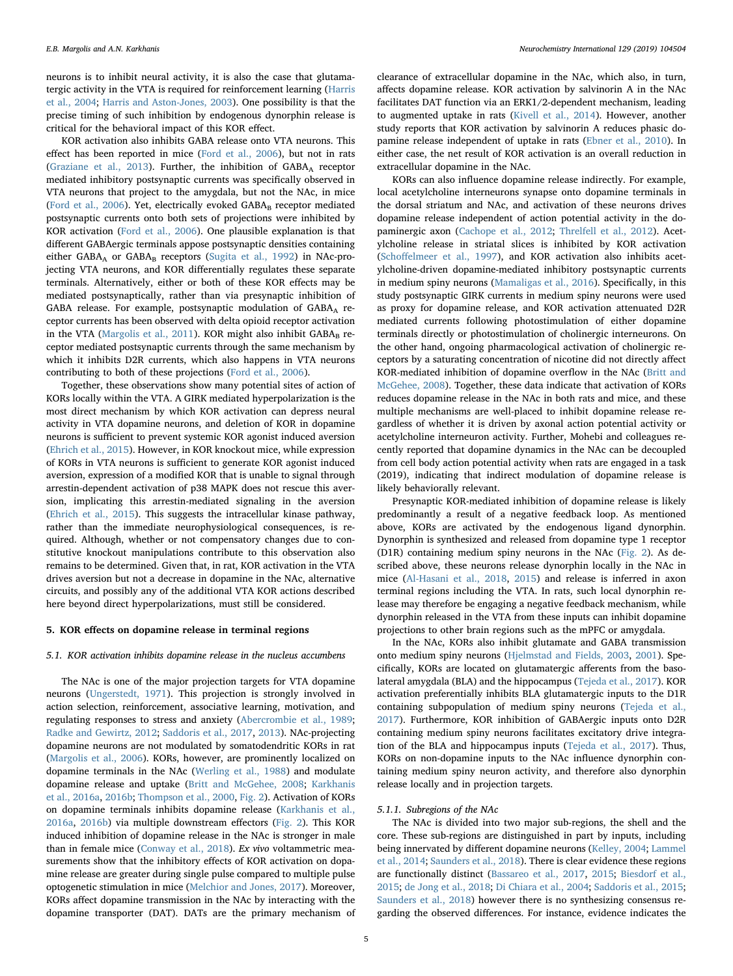neurons is to inhibit neural activity, it is also the case that glutamatergic activity in the VTA is required for reinforcement learning ([Harris](#page-8-29) [et al., 2004](#page-8-29); [Harris and Aston-Jones, 2003\)](#page-8-30). One possibility is that the precise timing of such inhibition by endogenous dynorphin release is critical for the behavioral impact of this KOR effect.

KOR activation also inhibits GABA release onto VTA neurons. This effect has been reported in mice ([Ford et al., 2006](#page-8-27)), but not in rats ([Graziane et al., 2013\)](#page-8-28). Further, the inhibition of GABAA receptor mediated inhibitory postsynaptic currents was specifically observed in VTA neurons that project to the amygdala, but not the NAc, in mice ([Ford et al., 2006](#page-8-27)). Yet, electrically evoked GABAB receptor mediated postsynaptic currents onto both sets of projections were inhibited by KOR activation [\(Ford et al., 2006\)](#page-8-27). One plausible explanation is that different GABAergic terminals appose postsynaptic densities containing either GABA<sub>A</sub> or GABA<sub>B</sub> receptors [\(Sugita et al., 1992](#page-9-39)) in NAc-projecting VTA neurons, and KOR differentially regulates these separate terminals. Alternatively, either or both of these KOR effects may be mediated postsynaptically, rather than via presynaptic inhibition of GABA release. For example, postsynaptic modulation of GABAA receptor currents has been observed with delta opioid receptor activation in the VTA ([Margolis et al., 2011\)](#page-9-40). KOR might also inhibit  $GABA_B$  receptor mediated postsynaptic currents through the same mechanism by which it inhibits D2R currents, which also happens in VTA neurons contributing to both of these projections [\(Ford et al., 2006](#page-8-27)).

Together, these observations show many potential sites of action of KORs locally within the VTA. A GIRK mediated hyperpolarization is the most direct mechanism by which KOR activation can depress neural activity in VTA dopamine neurons, and deletion of KOR in dopamine neurons is sufficient to prevent systemic KOR agonist induced aversion ([Ehrich et al., 2015\)](#page-7-29). However, in KOR knockout mice, while expression of KORs in VTA neurons is sufficient to generate KOR agonist induced aversion, expression of a modified KOR that is unable to signal through arrestin-dependent activation of p38 MAPK does not rescue this aversion, implicating this arrestin-mediated signaling in the aversion ([Ehrich et al., 2015](#page-7-29)). This suggests the intracellular kinase pathway, rather than the immediate neurophysiological consequences, is required. Although, whether or not compensatory changes due to constitutive knockout manipulations contribute to this observation also remains to be determined. Given that, in rat, KOR activation in the VTA drives aversion but not a decrease in dopamine in the NAc, alternative circuits, and possibly any of the additional VTA KOR actions described here beyond direct hyperpolarizations, must still be considered.

#### 5. KOR effects on dopamine release in terminal regions

## 5.1. KOR activation inhibits dopamine release in the nucleus accumbens

The NAc is one of the major projection targets for VTA dopamine neurons ([Ungerstedt, 1971\)](#page-10-5). This projection is strongly involved in action selection, reinforcement, associative learning, motivation, and regulating responses to stress and anxiety ([Abercrombie et al., 1989](#page-7-33); [Radke and Gewirtz, 2012;](#page-9-41) [Saddoris et al., 2017](#page-9-42), [2013\)](#page-9-43). NAc-projecting dopamine neurons are not modulated by somatodendritic KORs in rat ([Margolis et al., 2006](#page-9-34)). KORs, however, are prominently localized on dopamine terminals in the NAc ([Werling et al., 1988\)](#page-10-6) and modulate dopamine release and uptake [\(Britt and McGehee, 2008](#page-7-34); [Karkhanis](#page-8-11) [et al., 2016a](#page-8-11), [2016b;](#page-8-9) [Thompson et al., 2000,](#page-10-7) [Fig. 2\)](#page-5-0). Activation of KORs on dopamine terminals inhibits dopamine release ([Karkhanis et al.,](#page-8-11) [2016a,](#page-8-11) [2016b\)](#page-8-9) via multiple downstream effectors [\(Fig. 2\)](#page-5-0). This KOR induced inhibition of dopamine release in the NAc is stronger in male than in female mice [\(Conway et al., 2018](#page-7-35)). Ex vivo voltammetric measurements show that the inhibitory effects of KOR activation on dopamine release are greater during single pulse compared to multiple pulse optogenetic stimulation in mice [\(Melchior and Jones, 2017](#page-9-16)). Moreover, KORs affect dopamine transmission in the NAc by interacting with the dopamine transporter (DAT). DATs are the primary mechanism of clearance of extracellular dopamine in the NAc, which also, in turn, affects dopamine release. KOR activation by salvinorin A in the NAc facilitates DAT function via an ERK1/2-dependent mechanism, leading to augmented uptake in rats (Kivell [et al., 2014](#page-8-31)). However, another study reports that KOR activation by salvinorin A reduces phasic dopamine release independent of uptake in rats ([Ebner et al., 2010](#page-7-36)). In either case, the net result of KOR activation is an overall reduction in extracellular dopamine in the NAc.

KORs can also influence dopamine release indirectly. For example, local acetylcholine interneurons synapse onto dopamine terminals in the dorsal striatum and NAc, and activation of these neurons drives dopamine release independent of action potential activity in the dopaminergic axon [\(Cachope et al., 2012](#page-7-37); [Threlfell et al., 2012\)](#page-10-8). Acetylcholine release in striatal slices is inhibited by KOR activation (Schoff[elmeer et al., 1997](#page-9-44)), and KOR activation also inhibits acetylcholine-driven dopamine-mediated inhibitory postsynaptic currents in medium spiny neurons ([Mamaligas et al., 2016\)](#page-8-32). Specifically, in this study postsynaptic GIRK currents in medium spiny neurons were used as proxy for dopamine release, and KOR activation attenuated D2R mediated currents following photostimulation of either dopamine terminals directly or photostimulation of cholinergic interneurons. On the other hand, ongoing pharmacological activation of cholinergic receptors by a saturating concentration of nicotine did not directly affect KOR-mediated inhibition of dopamine overflow in the NAc ([Britt and](#page-7-34) [McGehee, 2008\)](#page-7-34). Together, these data indicate that activation of KORs reduces dopamine release in the NAc in both rats and mice, and these multiple mechanisms are well-placed to inhibit dopamine release regardless of whether it is driven by axonal action potential activity or acetylcholine interneuron activity. Further, Mohebi and colleagues recently reported that dopamine dynamics in the NAc can be decoupled from cell body action potential activity when rats are engaged in a task (2019), indicating that indirect modulation of dopamine release is likely behaviorally relevant.

Presynaptic KOR-mediated inhibition of dopamine release is likely predominantly a result of a negative feedback loop. As mentioned above, KORs are activated by the endogenous ligand dynorphin. Dynorphin is synthesized and released from dopamine type 1 receptor (D1R) containing medium spiny neurons in the NAc ([Fig. 2\)](#page-5-0). As described above, these neurons release dynorphin locally in the NAc in mice [\(Al-Hasani et al., 2018,](#page-7-21) [2015](#page-7-30)) and release is inferred in axon terminal regions including the VTA. In rats, such local dynorphin release may therefore be engaging a negative feedback mechanism, while dynorphin released in the VTA from these inputs can inhibit dopamine projections to other brain regions such as the mPFC or amygdala.

In the NAc, KORs also inhibit glutamate and GABA transmission onto medium spiny neurons ([Hjelmstad and Fields, 2003](#page-8-33), [2001](#page-8-34)). Specifically, KORs are located on glutamatergic afferents from the basolateral amygdala (BLA) and the hippocampus ([Tejeda et al., 2017](#page-10-9)). KOR activation preferentially inhibits BLA glutamatergic inputs to the D1R containing subpopulation of medium spiny neurons ([Tejeda et al.,](#page-10-9) [2017\)](#page-10-9). Furthermore, KOR inhibition of GABAergic inputs onto D2R containing medium spiny neurons facilitates excitatory drive integration of the BLA and hippocampus inputs [\(Tejeda et al., 2017\)](#page-10-9). Thus, KORs on non-dopamine inputs to the NAc influence dynorphin containing medium spiny neuron activity, and therefore also dynorphin release locally and in projection targets.

## 5.1.1. Subregions of the NAc

The NAc is divided into two major sub-regions, the shell and the core. These sub-regions are distinguished in part by inputs, including being innervated by different dopamine neurons [\(Kelley, 2004](#page-8-35); [Lammel](#page-8-4) [et al., 2014;](#page-8-4) [Saunders et al., 2018](#page-9-7)). There is clear evidence these regions are functionally distinct [\(Bassareo et al., 2017](#page-7-38), [2015;](#page-7-39) [Biesdorf et al.,](#page-7-40) [2015;](#page-7-40) [de Jong et al., 2018;](#page-7-5) [Di Chiara et al., 2004;](#page-7-41) [Saddoris et al., 2015](#page-9-45); [Saunders et al., 2018\)](#page-9-7) however there is no synthesizing consensus regarding the observed differences. For instance, evidence indicates the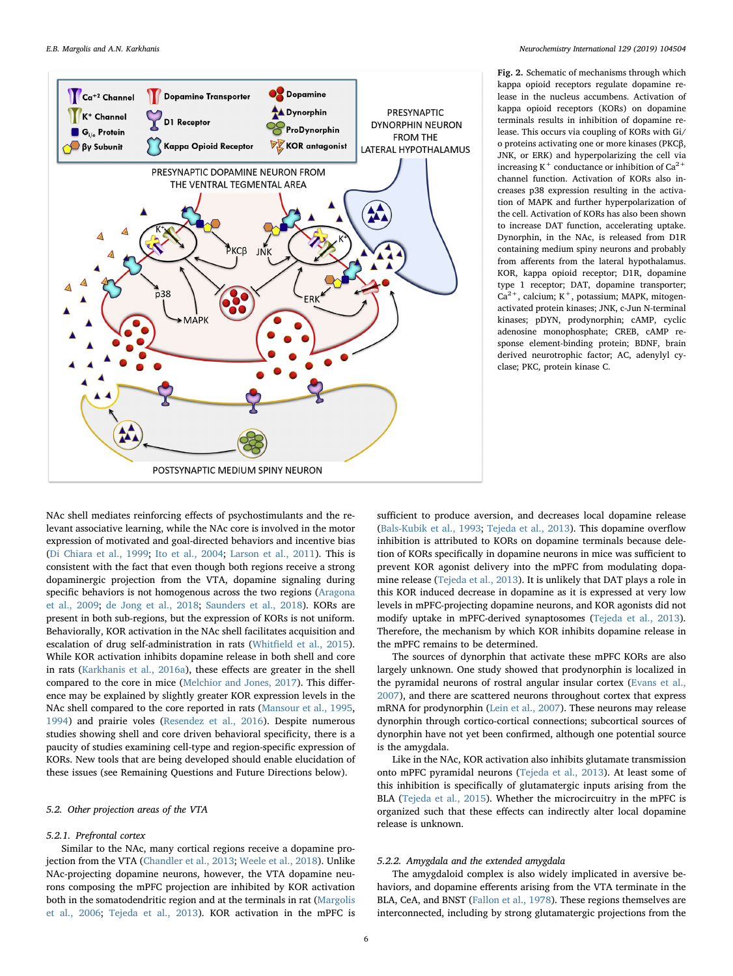<span id="page-5-0"></span>

Fig. 2. Schematic of mechanisms through which kappa opioid receptors regulate dopamine release in the nucleus accumbens. Activation of kappa opioid receptors (KORs) on dopamine terminals results in inhibition of dopamine release. This occurs via coupling of KORs with Gi/ o proteins activating one or more kinases (PKCβ, JNK, or ERK) and hyperpolarizing the cell via increasing K<sup>+</sup> conductance or inhibition of  $Ca^{2+}$ channel function. Activation of KORs also increases p38 expression resulting in the activation of MAPK and further hyperpolarization of the cell. Activation of KORs has also been shown to increase DAT function, accelerating uptake. Dynorphin, in the NAc, is released from D1R containing medium spiny neurons and probably from afferents from the lateral hypothalamus. KOR, kappa opioid receptor; D1R, dopamine type 1 receptor; DAT, dopamine transporter;  $Ca<sup>2+</sup>$ , calcium; K<sup>+</sup>, potassium; MAPK, mitogenactivated protein kinases; JNK, c-Jun N-terminal kinases; pDYN, prodynorphin; cAMP, cyclic adenosine monophosphate; CREB, cAMP response element-binding protein; BDNF, brain derived neurotrophic factor; AC, adenylyl cyclase; PKC, protein kinase C.

NAc shell mediates reinforcing effects of psychostimulants and the relevant associative learning, while the NAc core is involved in the motor expression of motivated and goal-directed behaviors and incentive bias ([Di Chiara et al., 1999;](#page-7-42) [Ito et al., 2004;](#page-8-36) [Larson et al., 2011](#page-8-37)). This is consistent with the fact that even though both regions receive a strong dopaminergic projection from the VTA, dopamine signaling during specific behaviors is not homogenous across the two regions [\(Aragona](#page-7-43) [et al., 2009](#page-7-43); [de Jong et al., 2018;](#page-7-5) [Saunders et al., 2018\)](#page-9-7). KORs are present in both sub-regions, but the expression of KORs is not uniform. Behaviorally, KOR activation in the NAc shell facilitates acquisition and escalation of drug self-administration in rats (Whitfi[eld et al., 2015](#page-10-10)). While KOR activation inhibits dopamine release in both shell and core in rats ([Karkhanis et al., 2016a\)](#page-8-11), these effects are greater in the shell compared to the core in mice ([Melchior and Jones, 2017](#page-9-16)). This difference may be explained by slightly greater KOR expression levels in the NAc shell compared to the core reported in rats ([Mansour et al., 1995](#page-8-38), [1994\)](#page-8-19) and prairie voles [\(Resendez et al., 2016\)](#page-9-46). Despite numerous studies showing shell and core driven behavioral specificity, there is a paucity of studies examining cell-type and region-specific expression of KORs. New tools that are being developed should enable elucidation of these issues (see Remaining Questions and Future Directions below).

## 5.2. Other projection areas of the VTA

## 5.2.1. Prefrontal cortex

Similar to the NAc, many cortical regions receive a dopamine projection from the VTA ([Chandler et al., 2013](#page-7-24); [Weele et al., 2018](#page-10-0)). Unlike NAc-projecting dopamine neurons, however, the VTA dopamine neurons composing the mPFC projection are inhibited by KOR activation both in the somatodendritic region and at the terminals in rat [\(Margolis](#page-9-34) [et al., 2006;](#page-9-34) [Tejeda et al., 2013](#page-9-35)). KOR activation in the mPFC is sufficient to produce aversion, and decreases local dopamine release ([Bals-Kubik et al., 1993](#page-7-26); [Tejeda et al., 2013](#page-9-35)). This dopamine overflow inhibition is attributed to KORs on dopamine terminals because deletion of KORs specifically in dopamine neurons in mice was sufficient to prevent KOR agonist delivery into the mPFC from modulating dopamine release ([Tejeda et al., 2013](#page-9-35)). It is unlikely that DAT plays a role in this KOR induced decrease in dopamine as it is expressed at very low levels in mPFC-projecting dopamine neurons, and KOR agonists did not modify uptake in mPFC-derived synaptosomes [\(Tejeda et al., 2013](#page-9-35)). Therefore, the mechanism by which KOR inhibits dopamine release in the mPFC remains to be determined.

The sources of dynorphin that activate these mPFC KORs are also largely unknown. One study showed that prodynorphin is localized in the pyramidal neurons of rostral angular insular cortex [\(Evans et al.,](#page-7-23) [2007\)](#page-7-23), and there are scattered neurons throughout cortex that express mRNA for prodynorphin [\(Lein et al., 2007](#page-8-23)). These neurons may release dynorphin through cortico-cortical connections; subcortical sources of dynorphin have not yet been confirmed, although one potential source is the amygdala.

Like in the NAc, KOR activation also inhibits glutamate transmission onto mPFC pyramidal neurons ([Tejeda et al., 2013\)](#page-9-35). At least some of this inhibition is specifically of glutamatergic inputs arising from the BLA [\(Tejeda et al., 2015](#page-10-11)). Whether the microcircuitry in the mPFC is organized such that these effects can indirectly alter local dopamine release is unknown.

#### 5.2.2. Amygdala and the extended amygdala

The amygdaloid complex is also widely implicated in aversive behaviors, and dopamine efferents arising from the VTA terminate in the BLA, CeA, and BNST [\(Fallon et al., 1978\)](#page-7-19). These regions themselves are interconnected, including by strong glutamatergic projections from the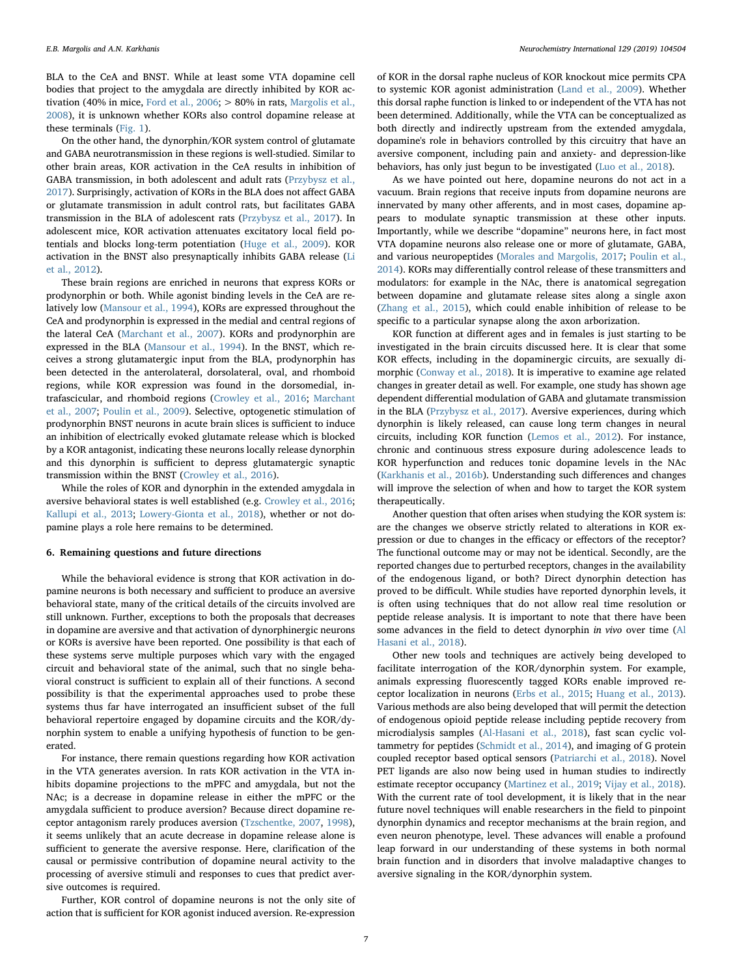BLA to the CeA and BNST. While at least some VTA dopamine cell bodies that project to the amygdala are directly inhibited by KOR activation (40% in mice, Ford et al.,  $2006$ ;  $> 80\%$  in rats, [Margolis et al.,](#page-9-37) [2008\)](#page-9-37), it is unknown whether KORs also control dopamine release at these terminals [\(Fig. 1\)](#page-3-0).

On the other hand, the dynorphin/KOR system control of glutamate and GABA neurotransmission in these regions is well-studied. Similar to other brain areas, KOR activation in the CeA results in inhibition of GABA transmission, in both adolescent and adult rats ([Przybysz et al.,](#page-9-47) [2017\)](#page-9-47). Surprisingly, activation of KORs in the BLA does not affect GABA or glutamate transmission in adult control rats, but facilitates GABA transmission in the BLA of adolescent rats ([Przybysz et al., 2017](#page-9-47)). In adolescent mice, KOR activation attenuates excitatory local field potentials and blocks long-term potentiation [\(Huge et al., 2009\)](#page-8-39). KOR activation in the BNST also presynaptically inhibits GABA release [\(Li](#page-8-22) [et al., 2012](#page-8-22)).

These brain regions are enriched in neurons that express KORs or prodynorphin or both. While agonist binding levels in the CeA are relatively low [\(Mansour et al., 1994](#page-8-19)), KORs are expressed throughout the CeA and prodynorphin is expressed in the medial and central regions of the lateral CeA ([Marchant et al., 2007](#page-8-21)). KORs and prodynorphin are expressed in the BLA [\(Mansour et al., 1994](#page-8-19)). In the BNST, which receives a strong glutamatergic input from the BLA, prodynorphin has been detected in the anterolateral, dorsolateral, oval, and rhomboid regions, while KOR expression was found in the dorsomedial, intrafascicular, and rhomboid regions ([Crowley et al., 2016](#page-7-22); [Marchant](#page-8-21) [et al., 2007;](#page-8-21) [Poulin et al., 2009](#page-9-26)). Selective, optogenetic stimulation of prodynorphin BNST neurons in acute brain slices is sufficient to induce an inhibition of electrically evoked glutamate release which is blocked by a KOR antagonist, indicating these neurons locally release dynorphin and this dynorphin is sufficient to depress glutamatergic synaptic transmission within the BNST [\(Crowley et al., 2016\)](#page-7-22).

While the roles of KOR and dynorphin in the extended amygdala in aversive behavioral states is well established (e.g. [Crowley et al., 2016](#page-7-22); [Kallupi et al., 2013](#page-8-40); [Lowery-Gionta et al., 2018](#page-8-41)), whether or not dopamine plays a role here remains to be determined.

#### 6. Remaining questions and future directions

While the behavioral evidence is strong that KOR activation in dopamine neurons is both necessary and sufficient to produce an aversive behavioral state, many of the critical details of the circuits involved are still unknown. Further, exceptions to both the proposals that decreases in dopamine are aversive and that activation of dynorphinergic neurons or KORs is aversive have been reported. One possibility is that each of these systems serve multiple purposes which vary with the engaged circuit and behavioral state of the animal, such that no single behavioral construct is sufficient to explain all of their functions. A second possibility is that the experimental approaches used to probe these systems thus far have interrogated an insufficient subset of the full behavioral repertoire engaged by dopamine circuits and the KOR/dynorphin system to enable a unifying hypothesis of function to be generated.

For instance, there remain questions regarding how KOR activation in the VTA generates aversion. In rats KOR activation in the VTA inhibits dopamine projections to the mPFC and amygdala, but not the NAc; is a decrease in dopamine release in either the mPFC or the amygdala sufficient to produce aversion? Because direct dopamine receptor antagonism rarely produces aversion ([Tzschentke, 2007,](#page-10-12) [1998](#page-10-13)), it seems unlikely that an acute decrease in dopamine release alone is sufficient to generate the aversive response. Here, clarification of the causal or permissive contribution of dopamine neural activity to the processing of aversive stimuli and responses to cues that predict aversive outcomes is required.

Further, KOR control of dopamine neurons is not the only site of action that is sufficient for KOR agonist induced aversion. Re-expression

of KOR in the dorsal raphe nucleus of KOR knockout mice permits CPA to systemic KOR agonist administration [\(Land et al., 2009\)](#page-8-25). Whether this dorsal raphe function is linked to or independent of the VTA has not been determined. Additionally, while the VTA can be conceptualized as both directly and indirectly upstream from the extended amygdala, dopamine's role in behaviors controlled by this circuitry that have an aversive component, including pain and anxiety- and depression-like behaviors, has only just begun to be investigated ([Luo et al., 2018](#page-8-6)).

As we have pointed out here, dopamine neurons do not act in a vacuum. Brain regions that receive inputs from dopamine neurons are innervated by many other afferents, and in most cases, dopamine appears to modulate synaptic transmission at these other inputs. Importantly, while we describe "dopamine" neurons here, in fact most VTA dopamine neurons also release one or more of glutamate, GABA, and various neuropeptides ([Morales and Margolis, 2017;](#page-9-48) [Poulin et al.,](#page-9-49) [2014\)](#page-9-49). KORs may differentially control release of these transmitters and modulators: for example in the NAc, there is anatomical segregation between dopamine and glutamate release sites along a single axon ([Zhang et al., 2015\)](#page-10-14), which could enable inhibition of release to be specific to a particular synapse along the axon arborization.

KOR function at different ages and in females is just starting to be investigated in the brain circuits discussed here. It is clear that some KOR effects, including in the dopaminergic circuits, are sexually dimorphic [\(Conway et al., 2018\)](#page-7-35). It is imperative to examine age related changes in greater detail as well. For example, one study has shown age dependent differential modulation of GABA and glutamate transmission in the BLA ([Przybysz et al., 2017\)](#page-9-47). Aversive experiences, during which dynorphin is likely released, can cause long term changes in neural circuits, including KOR function ([Lemos et al., 2012\)](#page-8-42). For instance, chronic and continuous stress exposure during adolescence leads to KOR hyperfunction and reduces tonic dopamine levels in the NAc ([Karkhanis et al., 2016b](#page-8-9)). Understanding such differences and changes will improve the selection of when and how to target the KOR system therapeutically.

Another question that often arises when studying the KOR system is: are the changes we observe strictly related to alterations in KOR expression or due to changes in the efficacy or effectors of the receptor? The functional outcome may or may not be identical. Secondly, are the reported changes due to perturbed receptors, changes in the availability of the endogenous ligand, or both? Direct dynorphin detection has proved to be difficult. While studies have reported dynorphin levels, it is often using techniques that do not allow real time resolution or peptide release analysis. It is important to note that there have been some advances in the field to detect dynorphin in vivo over time ([Al](#page-7-21) [Hasani et al., 2018](#page-7-21)).

Other new tools and techniques are actively being developed to facilitate interrogation of the KOR/dynorphin system. For example, animals expressing fluorescently tagged KORs enable improved receptor localization in neurons ([Erbs et al., 2015;](#page-7-44) [Huang et al., 2013](#page-8-43)). Various methods are also being developed that will permit the detection of endogenous opioid peptide release including peptide recovery from microdialysis samples [\(Al-Hasani et al., 2018](#page-7-21)), fast scan cyclic voltammetry for peptides [\(Schmidt et al., 2014](#page-9-50)), and imaging of G protein coupled receptor based optical sensors [\(Patriarchi et al., 2018](#page-9-51)). Novel PET ligands are also now being used in human studies to indirectly estimate receptor occupancy ([Martinez et al., 2019;](#page-9-52) [Vijay et al., 2018](#page-10-15)). With the current rate of tool development, it is likely that in the near future novel techniques will enable researchers in the field to pinpoint dynorphin dynamics and receptor mechanisms at the brain region, and even neuron phenotype, level. These advances will enable a profound leap forward in our understanding of these systems in both normal brain function and in disorders that involve maladaptive changes to aversive signaling in the KOR/dynorphin system.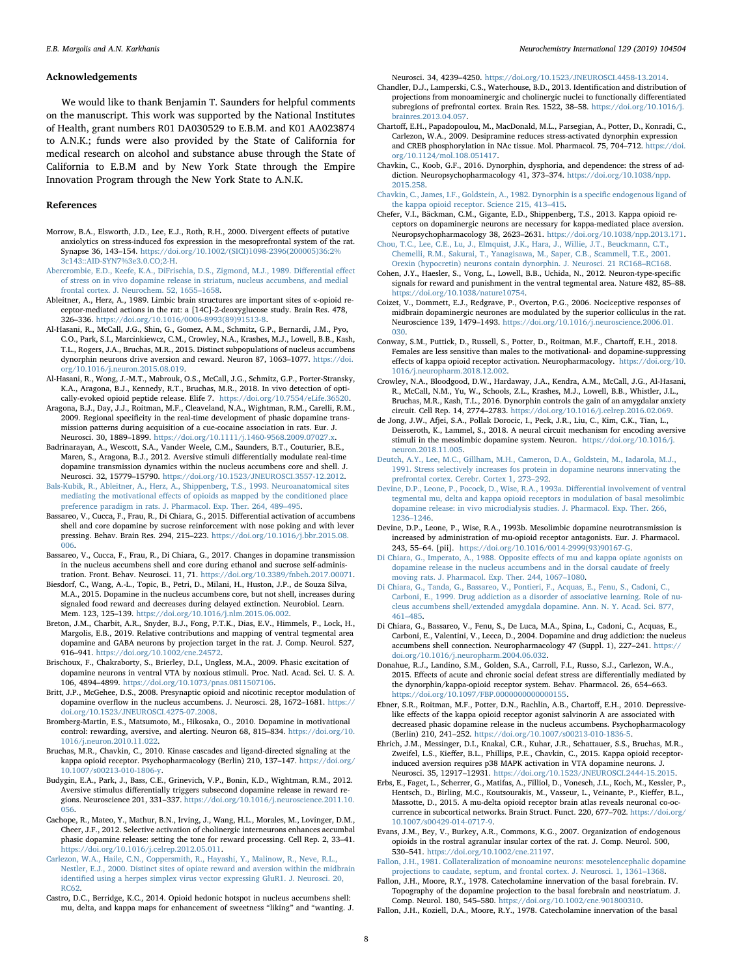#### Acknowledgements

We would like to thank Benjamin T. Saunders for helpful comments on the manuscript. This work was supported by the National Institutes of Health, grant numbers R01 DA030529 to E.B.M. and K01 AA023874 to A.N.K.; funds were also provided by the State of California for medical research on alcohol and substance abuse through the State of California to E.B.M and by New York State through the Empire Innovation Program through the New York State to A.N.K.

#### References

- <span id="page-7-6"></span>Morrow, B.A., Elsworth, J.D., Lee, E.J., Roth, R.H., 2000. Divergent effects of putative anxiolytics on stress-induced fos expression in the mesoprefrontal system of the rat. Synapse 36, 143–154. [https://doi.org/10.1002/\(SICI\)1098-2396\(200005\)36:2%](https://doi.org/10.1002/(SICI)1098-2396(200005)36:2%3c143::AID-SYN7%3e3.0.CO;2-H) [3c143::AID-SYN7%3e3.0.CO;2-H.](https://doi.org/10.1002/(SICI)1098-2396(200005)36:2%3c143::AID-SYN7%3e3.0.CO;2-H)
- <span id="page-7-33"></span>[Abercrombie, E.D., Keefe, K.A., DiFrischia, D.S., Zigmond, M.J., 1989. Di](http://refhub.elsevier.com/S0197-0186(18)30678-8/sref2)fferential effect [of stress on in vivo dopamine release in striatum, nucleus accumbens, and medial](http://refhub.elsevier.com/S0197-0186(18)30678-8/sref2) [frontal cortex. J. Neurochem. 52, 1655](http://refhub.elsevier.com/S0197-0186(18)30678-8/sref2)–1658.
- <span id="page-7-0"></span>Ableitner, A., Herz, A., 1989. Limbic brain structures are important sites of κ-opioid receptor-mediated actions in the rat: a [14C]-2-deoxyglucose study. Brain Res. 478, 326–336. [https://doi.org/10.1016/0006-8993\(89\)91513-8](https://doi.org/10.1016/0006-8993(89)91513-8).
- <span id="page-7-30"></span>Al-Hasani, R., McCall, J.G., Shin, G., Gomez, A.M., Schmitz, G.P., Bernardi, J.M., Pyo, C.O., Park, S.I., Marcinkiewcz, C.M., Crowley, N.A., Krashes, M.J., Lowell, B.B., Kash, T.L., Rogers, J.A., Bruchas, M.R., 2015. Distinct subpopulations of nucleus accumbens dynorphin neurons drive aversion and reward. Neuron 87, 1063–1077. [https://doi.](https://doi.org/10.1016/j.neuron.2015.08.019) [org/10.1016/j.neuron.2015.08.019.](https://doi.org/10.1016/j.neuron.2015.08.019)
- <span id="page-7-21"></span>Al-Hasani, R., Wong, J.-M.T., Mabrouk, O.S., McCall, J.G., Schmitz, G.P., Porter-Stransky, K.A., Aragona, B.J., Kennedy, R.T., Bruchas, M.R., 2018. In vivo detection of optically-evoked opioid peptide release. Elife 7. [https://doi.org/10.7554/eLife.36520.](https://doi.org/10.7554/eLife.36520)
- <span id="page-7-43"></span>Aragona, B.J., Day, J.J., Roitman, M.F., Cleaveland, N.A., Wightman, R.M., Carelli, R.M., 2009. Regional specificity in the real-time development of phasic dopamine transmission patterns during acquisition of a cue-cocaine association in rats. Eur. J. Neurosci. 30, 1889–1899. <https://doi.org/10.1111/j.1460-9568.2009.07027.x>.
- <span id="page-7-12"></span>Badrinarayan, A., Wescott, S.A., Vander Weele, C.M., Saunders, B.T., Couturier, B.E., Maren, S., Aragona, B.J., 2012. Aversive stimuli differentially modulate real-time dopamine transmission dynamics within the nucleus accumbens core and shell. J. Neurosci. 32, 15779–15790. [https://doi.org/10.1523/JNEUROSCI.3557-12.2012.](https://doi.org/10.1523/JNEUROSCI.3557-12.2012)
- <span id="page-7-26"></span>[Bals-Kubik, R., Ableitner, A., Herz, A., Shippenberg, T.S., 1993. Neuroanatomical sites](http://refhub.elsevier.com/S0197-0186(18)30678-8/sref8) mediating the motivational eff[ects of opioids as mapped by the conditioned place](http://refhub.elsevier.com/S0197-0186(18)30678-8/sref8) [preference paradigm in rats. J. Pharmacol. Exp. Ther. 264, 489](http://refhub.elsevier.com/S0197-0186(18)30678-8/sref8)–495.
- <span id="page-7-39"></span>Bassareo, V., Cucca, F., Frau, R., Di Chiara, G., 2015. Differential activation of accumbens shell and core dopamine by sucrose reinforcement with nose poking and with lever pressing. Behav. Brain Res. 294, 215–223. [https://doi.org/10.1016/j.bbr.2015.08.](https://doi.org/10.1016/j.bbr.2015.08.006) [006](https://doi.org/10.1016/j.bbr.2015.08.006).
- <span id="page-7-38"></span>Bassareo, V., Cucca, F., Frau, R., Di Chiara, G., 2017. Changes in dopamine transmission in the nucleus accumbens shell and core during ethanol and sucrose self-administration. Front. Behav. Neurosci. 11, 71. [https://doi.org/10.3389/fnbeh.2017.00071.](https://doi.org/10.3389/fnbeh.2017.00071)
- <span id="page-7-40"></span>Biesdorf, C., Wang, A.-L., Topic, B., Petri, D., Milani, H., Huston, J.P., de Souza Silva, M.A., 2015. Dopamine in the nucleus accumbens core, but not shell, increases during signaled food reward and decreases during delayed extinction. Neurobiol. Learn. Mem. 123, 125–139. [https://doi.org/10.1016/j.nlm.2015.06.002.](https://doi.org/10.1016/j.nlm.2015.06.002)
- <span id="page-7-8"></span>Breton, J.M., Charbit, A.R., Snyder, B.J., Fong, P.T.K., Dias, E.V., Himmels, P., Lock, H., Margolis, E.B., 2019. Relative contributions and mapping of ventral tegmental area dopamine and GABA neurons by projection target in the rat. J. Comp. Neurol. 527, 916–941. <https://doi.org/10.1002/cne.24572>.
- <span id="page-7-2"></span>Brischoux, F., Chakraborty, S., Brierley, D.I., Ungless, M.A., 2009. Phasic excitation of dopamine neurons in ventral VTA by noxious stimuli. Proc. Natl. Acad. Sci. U. S. A. 106, 4894–4899. <https://doi.org/10.1073/pnas.0811507106>.
- <span id="page-7-34"></span>Britt, J.P., McGehee, D.S., 2008. Presynaptic opioid and nicotinic receptor modulation of dopamine overflow in the nucleus accumbens. J. Neurosci. 28, 1672–1681. [https://](https://doi.org/10.1523/JNEUROSCI.4275-07.2008) [doi.org/10.1523/JNEUROSCI.4275-07.2008.](https://doi.org/10.1523/JNEUROSCI.4275-07.2008)
- <span id="page-7-13"></span>Bromberg-Martin, E.S., Matsumoto, M., Hikosaka, O., 2010. Dopamine in motivational control: rewarding, aversive, and alerting. Neuron 68, 815–834. [https://doi.org/10.](https://doi.org/10.1016/j.neuron.2010.11.022) [1016/j.neuron.2010.11.022](https://doi.org/10.1016/j.neuron.2010.11.022).
- <span id="page-7-16"></span>Bruchas, M.R., Chavkin, C., 2010. Kinase cascades and ligand-directed signaling at the kappa opioid receptor. Psychopharmacology (Berlin) 210, 137–147. [https://doi.org/](https://doi.org/10.1007/s00213-010-1806-y) [10.1007/s00213-010-1806-y](https://doi.org/10.1007/s00213-010-1806-y).
- <span id="page-7-4"></span>Budygin, E.A., Park, J., Bass, C.E., Grinevich, V.P., Bonin, K.D., Wightman, R.M., 2012. Aversive stimulus differentially triggers subsecond dopamine release in reward regions. Neuroscience 201, 331–337. [https://doi.org/10.1016/j.neuroscience.2011.10.](https://doi.org/10.1016/j.neuroscience.2011.10.056) [056](https://doi.org/10.1016/j.neuroscience.2011.10.056).
- <span id="page-7-37"></span>Cachope, R., Mateo, Y., Mathur, B.N., Irving, J., Wang, H.L., Morales, M., Lovinger, D.M., Cheer, J.F., 2012. Selective activation of cholinergic interneurons enhances accumbal phasic dopamine release: setting the tone for reward processing. Cell Rep. 2, 33–41. [https://doi.org/10.1016/j.celrep.2012.05.011.](https://doi.org/10.1016/j.celrep.2012.05.011)
- <span id="page-7-1"></span>[Carlezon, W.A., Haile, C.N., Coppersmith, R., Hayashi, Y., Malinow, R., Neve, R.L.,](http://refhub.elsevier.com/S0197-0186(18)30678-8/sref19) [Nestler, E.J., 2000. Distinct sites of opiate reward and aversion within the midbrain](http://refhub.elsevier.com/S0197-0186(18)30678-8/sref19) identifi[ed using a herpes simplex virus vector expressing GluR1. J. Neurosci. 20,](http://refhub.elsevier.com/S0197-0186(18)30678-8/sref19) [RC62.](http://refhub.elsevier.com/S0197-0186(18)30678-8/sref19)
- <span id="page-7-31"></span>Castro, D.C., Berridge, K.C., 2014. Opioid hedonic hotspot in nucleus accumbens shell: mu, delta, and kappa maps for enhancement of sweetness "liking" and "wanting. J.

Neurosci. 34, 4239–4250. [https://doi.org/10.1523/JNEUROSCI.4458-13.2014.](https://doi.org/10.1523/JNEUROSCI.4458-13.2014)

- <span id="page-7-24"></span>Chandler, D.J., Lamperski, C.S., Waterhouse, B.D., 2013. Identification and distribution of projections from monoaminergic and cholinergic nuclei to functionally differentiated subregions of prefrontal cortex. Brain Res. 1522, 38–58. [https://doi.org/10.1016/j.](https://doi.org/10.1016/j.brainres.2013.04.057) [brainres.2013.04.057](https://doi.org/10.1016/j.brainres.2013.04.057).
- <span id="page-7-25"></span>Chartoff, E.H., Papadopoulou, M., MacDonald, M.L., Parsegian, A., Potter, D., Konradi, C., Carlezon, W.A., 2009. Desipramine reduces stress-activated dynorphin expression and CREB phosphorylation in NAc tissue. Mol. Pharmacol. 75, 704–712. [https://doi.](https://doi.org/10.1124/mol.108.051417) [org/10.1124/mol.108.051417](https://doi.org/10.1124/mol.108.051417).
- <span id="page-7-17"></span>Chavkin, C., Koob, G.F., 2016. Dynorphin, dysphoria, and dependence: the stress of addiction. Neuropsychopharmacology 41, 373–374. [https://doi.org/10.1038/npp.](https://doi.org/10.1038/npp.2015.258) [2015.258](https://doi.org/10.1038/npp.2015.258).
- <span id="page-7-14"></span>[Chavkin, C., James, I.F., Goldstein, A., 1982. Dynorphin is a speci](http://refhub.elsevier.com/S0197-0186(18)30678-8/sref24)fic endogenous ligand of [the kappa opioid receptor. Science 215, 413](http://refhub.elsevier.com/S0197-0186(18)30678-8/sref24)–415.
- <span id="page-7-28"></span>Chefer, V.I., Bäckman, C.M., Gigante, E.D., Shippenberg, T.S., 2013. Kappa opioid receptors on dopaminergic neurons are necessary for kappa-mediated place aversion. Neuropsychopharmacology 38, 2623–2631. [https://doi.org/10.1038/npp.2013.171.](https://doi.org/10.1038/npp.2013.171)
- <span id="page-7-18"></span>[Chou, T.C., Lee, C.E., Lu, J., Elmquist, J.K., Hara, J., Willie, J.T., Beuckmann, C.T.,](http://refhub.elsevier.com/S0197-0186(18)30678-8/sref26) [Chemelli, R.M., Sakurai, T., Yanagisawa, M., Saper, C.B., Scammell, T.E., 2001.](http://refhub.elsevier.com/S0197-0186(18)30678-8/sref26) [Orexin \(hypocretin\) neurons contain dynorphin. J. Neurosci. 21 RC168](http://refhub.elsevier.com/S0197-0186(18)30678-8/sref26)–RC168.
- <span id="page-7-11"></span>Cohen, J.Y., Haesler, S., Vong, L., Lowell, B.B., Uchida, N., 2012. Neuron-type-specific signals for reward and punishment in the ventral tegmental area. Nature 482, 85–88. [https://doi.org/10.1038/nature10754.](https://doi.org/10.1038/nature10754)
- <span id="page-7-3"></span>Coizet, V., Dommett, E.J., Redgrave, P., Overton, P.G., 2006. Nociceptive responses of midbrain dopaminergic neurones are modulated by the superior colliculus in the rat. Neuroscience 139, 1479–1493. [https://doi.org/10.1016/j.neuroscience.2006.01.](https://doi.org/10.1016/j.neuroscience.2006.01.030) [030](https://doi.org/10.1016/j.neuroscience.2006.01.030).
- <span id="page-7-35"></span>Conway, S.M., Puttick, D., Russell, S., Potter, D., Roitman, M.F., Chartoff, E.H., 2018. Females are less sensitive than males to the motivational- and dopamine-suppressing effects of kappa opioid receptor activation. Neuropharmacology. [https://doi.org/10.](https://doi.org/10.1016/j.neuropharm.2018.12.002) [1016/j.neuropharm.2018.12.002](https://doi.org/10.1016/j.neuropharm.2018.12.002).
- <span id="page-7-22"></span>Crowley, N.A., Bloodgood, D.W., Hardaway, J.A., Kendra, A.M., McCall, J.G., Al-Hasani, R., McCall, N.M., Yu, W., Schools, Z.L., Krashes, M.J., Lowell, B.B., Whistler, J.L., Bruchas, M.R., Kash, T.L., 2016. Dynorphin controls the gain of an amygdalar anxiety circuit. Cell Rep. 14, 2774–2783. <https://doi.org/10.1016/j.celrep.2016.02.069>.
- <span id="page-7-5"></span>de Jong, J.W., Afjei, S.A., Pollak Dorocic, I., Peck, J.R., Liu, C., Kim, C.K., Tian, L., Deisseroth, K., Lammel, S., 2018. A neural circuit mechanism for encoding aversive stimuli in the mesolimbic dopamine system. Neuron. [https://doi.org/10.1016/j.](https://doi.org/10.1016/j.neuron.2018.11.005) [neuron.2018.11.005](https://doi.org/10.1016/j.neuron.2018.11.005).
- <span id="page-7-7"></span>[Deutch, A.Y., Lee, M.C., Gillham, M.H., Cameron, D.A., Goldstein, M., Iadarola, M.J.,](http://refhub.elsevier.com/S0197-0186(18)30678-8/sref32) [1991. Stress selectively increases fos protein in dopamine neurons innervating the](http://refhub.elsevier.com/S0197-0186(18)30678-8/sref32) [prefrontal cortex. Cerebr. Cortex 1, 273](http://refhub.elsevier.com/S0197-0186(18)30678-8/sref32)–292.
- <span id="page-7-9"></span>[Devine, D.P., Leone, P., Pocock, D., Wise, R.A., 1993a. Di](http://refhub.elsevier.com/S0197-0186(18)30678-8/sref33)fferential involvement of ventral [tegmental mu, delta and kappa opioid receptors in modulation of basal mesolimbic](http://refhub.elsevier.com/S0197-0186(18)30678-8/sref33) [dopamine release: in vivo microdialysis studies. J. Pharmacol. Exp. Ther. 266,](http://refhub.elsevier.com/S0197-0186(18)30678-8/sref33) 1236–[1246](http://refhub.elsevier.com/S0197-0186(18)30678-8/sref33).
- <span id="page-7-10"></span>Devine, D.P., Leone, P., Wise, R.A., 1993b. Mesolimbic dopamine neurotransmission is increased by administration of mu-opioid receptor antagonists. Eur. J. Pharmacol. 243, 55–64. [pii]. [https://doi.org/10.1016/0014-2999\(93\)90167-G.](https://doi.org/10.1016/0014-2999(93)90167-G)
- <span id="page-7-27"></span>[Di Chiara, G., Imperato, A., 1988. Opposite e](http://refhub.elsevier.com/S0197-0186(18)30678-8/sref35)ffects of mu and kappa opiate agonists on [dopamine release in the nucleus accumbens and in the dorsal caudate of freely](http://refhub.elsevier.com/S0197-0186(18)30678-8/sref35) [moving rats. J. Pharmacol. Exp. Ther. 244, 1067](http://refhub.elsevier.com/S0197-0186(18)30678-8/sref35)–1080.
- <span id="page-7-42"></span>[Di Chiara, G., Tanda, G., Bassareo, V., Pontieri, F., Acquas, E., Fenu, S., Cadoni, C.,](http://refhub.elsevier.com/S0197-0186(18)30678-8/sref36) [Carboni, E., 1999. Drug addiction as a disorder of associative learning. Role of nu](http://refhub.elsevier.com/S0197-0186(18)30678-8/sref36)[cleus accumbens shell/extended amygdala dopamine. Ann. N. Y. Acad. Sci. 877,](http://refhub.elsevier.com/S0197-0186(18)30678-8/sref36) 461–[485](http://refhub.elsevier.com/S0197-0186(18)30678-8/sref36).
- <span id="page-7-41"></span>Di Chiara, G., Bassareo, V., Fenu, S., De Luca, M.A., Spina, L., Cadoni, C., Acquas, E., Carboni, E., Valentini, V., Lecca, D., 2004. Dopamine and drug addiction: the nucleus accumbens shell connection. Neuropharmacology 47 (Suppl. 1), 227–241. [https://](https://doi.org/10.1016/j.neuropharm.2004.06.032) [doi.org/10.1016/j.neuropharm.2004.06.032](https://doi.org/10.1016/j.neuropharm.2004.06.032).
- <span id="page-7-15"></span>Donahue, R.J., Landino, S.M., Golden, S.A., Carroll, F.I., Russo, S.J., Carlezon, W.A., 2015. Effects of acute and chronic social defeat stress are differentially mediated by the dynorphin/kappa-opioid receptor system. Behav. Pharmacol. 26, 654–663. [https://doi.org/10.1097/FBP.0000000000000155.](https://doi.org/10.1097/FBP.0000000000000155)
- <span id="page-7-36"></span>Ebner, S.R., Roitman, M.F., Potter, D.N., Rachlin, A.B., Chartoff, E.H., 2010. Depressivelike effects of the kappa opioid receptor agonist salvinorin A are associated with decreased phasic dopamine release in the nucleus accumbens. Psychopharmacology (Berlin) 210, 241–252. [https://doi.org/10.1007/s00213-010-1836-5.](https://doi.org/10.1007/s00213-010-1836-5)
- <span id="page-7-29"></span>Ehrich, J.M., Messinger, D.I., Knakal, C.R., Kuhar, J.R., Schattauer, S.S., Bruchas, M.R., Zweifel, L.S., Kieffer, B.L., Phillips, P.E., Chavkin, C., 2015. Kappa opioid receptorinduced aversion requires p38 MAPK activation in VTA dopamine neurons. J. Neurosci. 35, 12917–12931. [https://doi.org/10.1523/JNEUROSCI.2444-15.2015.](https://doi.org/10.1523/JNEUROSCI.2444-15.2015)
- <span id="page-7-44"></span>Erbs, E., Faget, L., Scherrer, G., Matifas, A., Filliol, D., Vonesch, J.L., Koch, M., Kessler, P., Hentsch, D., Birling, M.C., Koutsourakis, M., Vasseur, L., Veinante, P., Kieffer, B.L., Massotte, D., 2015. A mu-delta opioid receptor brain atlas reveals neuronal co-occurrence in subcortical networks. Brain Struct. Funct. 220, 677–702. [https://doi.org/](https://doi.org/10.1007/s00429-014-0717-9) [10.1007/s00429-014-0717-9](https://doi.org/10.1007/s00429-014-0717-9).
- <span id="page-7-23"></span>Evans, J.M., Bey, V., Burkey, A.R., Commons, K.G., 2007. Organization of endogenous opioids in the rostral agranular insular cortex of the rat. J. Comp. Neurol. 500, 530–541. <https://doi.org/10.1002/cne.21197>.

<span id="page-7-32"></span>[Fallon, J.H., 1981. Collateralization of monoamine neurons: mesotelencephalic dopamine](http://refhub.elsevier.com/S0197-0186(18)30678-8/sref43) [projections to caudate, septum, and frontal cortex. J. Neurosci. 1, 1361](http://refhub.elsevier.com/S0197-0186(18)30678-8/sref43)–1368.

<span id="page-7-20"></span>Fallon, J.H., Moore, R.Y., 1978. Catecholamine innervation of the basal forebrain. IV. Topography of the dopamine projection to the basal forebrain and neostriatum. J. Comp. Neurol. 180, 545–580. [https://doi.org/10.1002/cne.901800310.](https://doi.org/10.1002/cne.901800310)

<span id="page-7-19"></span>Fallon, J.H., Koziell, D.A., Moore, R.Y., 1978. Catecholamine innervation of the basal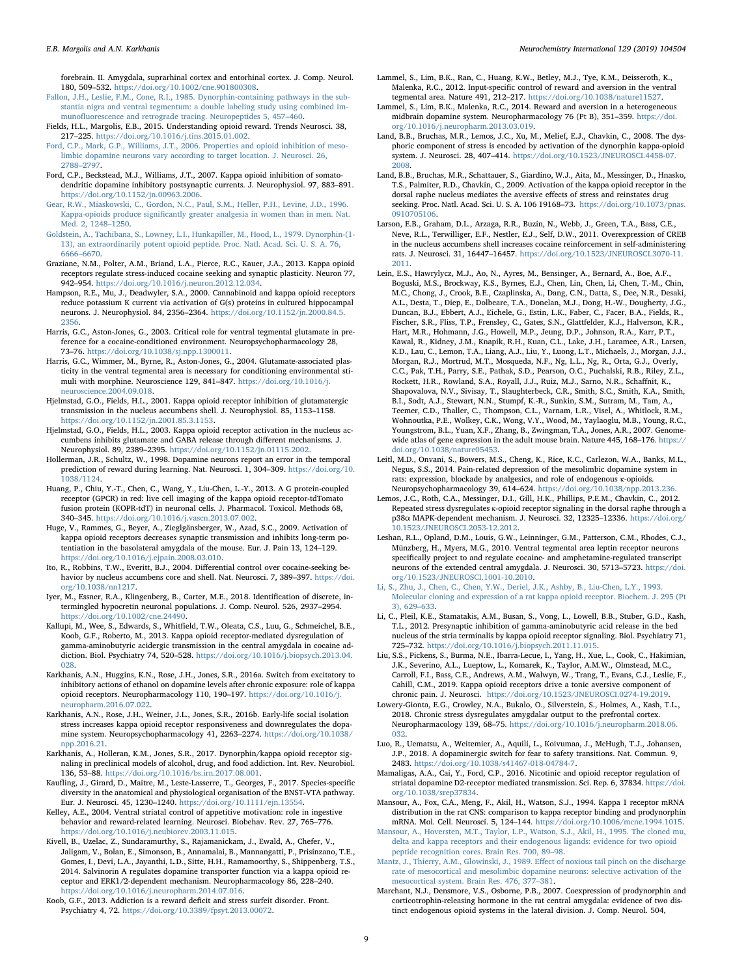forebrain. II. Amygdala, suprarhinal cortex and entorhinal cortex. J. Comp. Neurol. 180, 509–532. <https://doi.org/10.1002/cne.901800308>.

- <span id="page-8-16"></span>[Fallon, J.H., Leslie, F.M., Cone, R.I., 1985. Dynorphin-containing pathways in the sub](http://refhub.elsevier.com/S0197-0186(18)30678-8/sref46)[stantia nigra and ventral tegmentum: a double labeling study using combined im](http://refhub.elsevier.com/S0197-0186(18)30678-8/sref46)munofl[uorescence and retrograde tracing. Neuropeptides 5, 457](http://refhub.elsevier.com/S0197-0186(18)30678-8/sref46)–460.
- <span id="page-8-0"></span>Fields, H.L., Margolis, E.B., 2015. Understanding opioid reward. Trends Neurosci. 38, 217–225. [https://doi.org/10.1016/j.tins.2015.01.002.](https://doi.org/10.1016/j.tins.2015.01.002)
- <span id="page-8-27"></span>[Ford, C.P., Mark, G.P., Williams, J.T., 2006. Properties and opioid inhibition of meso](http://refhub.elsevier.com/S0197-0186(18)30678-8/sref48)[limbic dopamine neurons vary according to target location. J. Neurosci. 26,](http://refhub.elsevier.com/S0197-0186(18)30678-8/sref48) [2788](http://refhub.elsevier.com/S0197-0186(18)30678-8/sref48)–2797.
- <span id="page-8-26"></span>Ford, C.P., Beckstead, M.J., Williams, J.T., 2007. Kappa opioid inhibition of somatodendritic dopamine inhibitory postsynaptic currents. J. Neurophysiol. 97, 883–891. [https://doi.org/10.1152/jn.00963.2006.](https://doi.org/10.1152/jn.00963.2006)
- <span id="page-8-12"></span>[Gear, R.W., Miaskowski, C., Gordon, N.C., Paul, S.M., Heller, P.H., Levine, J.D., 1996.](http://refhub.elsevier.com/S0197-0186(18)30678-8/sref50) Kappa-opioids produce signifi[cantly greater analgesia in women than in men. Nat.](http://refhub.elsevier.com/S0197-0186(18)30678-8/sref50) [Med. 2, 1248](http://refhub.elsevier.com/S0197-0186(18)30678-8/sref50)–1250.
- <span id="page-8-7"></span>[Goldstein, A., Tachibana, S., Lowney, L.I., Hunkapiller, M., Hood, L., 1979. Dynorphin-\(1-](http://refhub.elsevier.com/S0197-0186(18)30678-8/sref51) [13\), an extraordinarily potent opioid peptide. Proc. Natl. Acad. Sci. U. S. A. 76,](http://refhub.elsevier.com/S0197-0186(18)30678-8/sref51) [6666](http://refhub.elsevier.com/S0197-0186(18)30678-8/sref51)–6670.
- <span id="page-8-28"></span>Graziane, N.M., Polter, A.M., Briand, L.A., Pierce, R.C., Kauer, J.A., 2013. Kappa opioid receptors regulate stress-induced cocaine seeking and synaptic plasticity. Neuron 77, 942–954. <https://doi.org/10.1016/j.neuron.2012.12.034>.
- <span id="page-8-14"></span>Hampson, R.E., Mu, J., Deadwyler, S.A., 2000. Cannabinoid and kappa opioid receptors reduce potassium K current via activation of G(s) proteins in cultured hippocampal neurons. J. Neurophysiol. 84, 2356–2364. [https://doi.org/10.1152/jn.2000.84.5.](https://doi.org/10.1152/jn.2000.84.5.2356) [2356.](https://doi.org/10.1152/jn.2000.84.5.2356)
- <span id="page-8-30"></span>Harris, G.C., Aston-Jones, G., 2003. Critical role for ventral tegmental glutamate in preference for a cocaine-conditioned environment. Neuropsychopharmacology 28, 73–76. [https://doi.org/10.1038/sj.npp.1300011.](https://doi.org/10.1038/sj.npp.1300011)
- <span id="page-8-29"></span>Harris, G.C., Wimmer, M., Byrne, R., Aston-Jones, G., 2004. Glutamate-associated plasticity in the ventral tegmental area is necessary for conditioning environmental stimuli with morphine. Neuroscience 129, 841–847. [https://doi.org/10.1016/j.](https://doi.org/10.1016/j.neuroscience.2004.09.018) [neuroscience.2004.09.018.](https://doi.org/10.1016/j.neuroscience.2004.09.018)
- <span id="page-8-34"></span>Hjelmstad, G.O., Fields, H.L., 2001. Kappa opioid receptor inhibition of glutamatergic transmission in the nucleus accumbens shell. J. Neurophysiol. 85, 1153–1158. <https://doi.org/10.1152/jn.2001.85.3.1153>.
- <span id="page-8-33"></span>Hjelmstad, G.O., Fields, H.L., 2003. Kappa opioid receptor activation in the nucleus accumbens inhibits glutamate and GABA release through different mechanisms. J. Neurophysiol. 89, 2389–2395. <https://doi.org/10.1152/jn.01115.2002>.
- <span id="page-8-5"></span>Hollerman, J.R., Schultz, W., 1998. Dopamine neurons report an error in the temporal prediction of reward during learning. Nat. Neurosci. 1, 304–309. [https://doi.org/10.](https://doi.org/10.1038/1124) [1038/1124](https://doi.org/10.1038/1124).
- <span id="page-8-43"></span>Huang, P., Chiu, Y.-T., Chen, C., Wang, Y., Liu-Chen, L.-Y., 2013. A G protein-coupled receptor (GPCR) in red: live cell imaging of the kappa opioid receptor-tdTomato fusion protein (KOPR-tdT) in neuronal cells. J. Pharmacol. Toxicol. Methods 68, 340–345. <https://doi.org/10.1016/j.vascn.2013.07.002>.
- <span id="page-8-39"></span>Huge, V., Rammes, G., Beyer, A., Zieglgänsberger, W., Azad, S.C., 2009. Activation of kappa opioid receptors decreases synaptic transmission and inhibits long-term potentiation in the basolateral amygdala of the mouse. Eur. J. Pain 13, 124–129. [https://doi.org/10.1016/j.ejpain.2008.03.010.](https://doi.org/10.1016/j.ejpain.2008.03.010)
- <span id="page-8-36"></span>Ito, R., Robbins, T.W., Everitt, B.J., 2004. Differential control over cocaine-seeking behavior by nucleus accumbens core and shell. Nat. Neurosci. 7, 389–397. [https://doi.](https://doi.org/10.1038/nn1217) [org/10.1038/nn1217](https://doi.org/10.1038/nn1217).
- <span id="page-8-17"></span>Iyer, M., Essner, R.A., Klingenberg, B., Carter, M.E., 2018. Identification of discrete, intermingled hypocretin neuronal populations. J. Comp. Neurol. 526, 2937–2954. [https://doi.org/10.1002/cne.24490.](https://doi.org/10.1002/cne.24490)
- <span id="page-8-40"></span>Kallupi, M., Wee, S., Edwards, S., Whitfield, T.W., Oleata, C.S., Luu, G., Schmeichel, B.E., Koob, G.F., Roberto, M., 2013. Kappa opioid receptor-mediated dysregulation of gamma-aminobutyric acidergic transmission in the central amygdala in cocaine addiction. Biol. Psychiatry 74, 520–528. [https://doi.org/10.1016/j.biopsych.2013.04.](https://doi.org/10.1016/j.biopsych.2013.04.028) [028](https://doi.org/10.1016/j.biopsych.2013.04.028).
- <span id="page-8-11"></span>Karkhanis, A.N., Huggins, K.N., Rose, J.H., Jones, S.R., 2016a. Switch from excitatory to inhibitory actions of ethanol on dopamine levels after chronic exposure: role of kappa opioid receptors. Neuropharmacology 110, 190–197. [https://doi.org/10.1016/j.](https://doi.org/10.1016/j.neuropharm.2016.07.022) [neuropharm.2016.07.022.](https://doi.org/10.1016/j.neuropharm.2016.07.022)
- <span id="page-8-9"></span>Karkhanis, A.N., Rose, J.H., Weiner, J.L., Jones, S.R., 2016b. Early-life social isolation stress increases kappa opioid receptor responsiveness and downregulates the dopamine system. Neuropsychopharmacology 41, 2263–2274. [https://doi.org/10.1038/](https://doi.org/10.1038/npp.2016.21) [npp.2016.21](https://doi.org/10.1038/npp.2016.21).
- <span id="page-8-15"></span>Karkhanis, A., Holleran, K.M., Jones, S.R., 2017. Dynorphin/kappa opioid receptor signaling in preclinical models of alcohol, drug, and food addiction. Int. Rev. Neurobiol. 136, 53–88. <https://doi.org/10.1016/bs.irn.2017.08.001>.
- <span id="page-8-18"></span>Kaufling, J., Girard, D., Maitre, M., Leste-Lasserre, T., Georges, F., 2017. Species-specific diversity in the anatomical and physiological organisation of the BNST-VTA pathway. Eur. J. Neurosci. 45, 1230–1240. [https://doi.org/10.1111/ejn.13554.](https://doi.org/10.1111/ejn.13554)
- <span id="page-8-35"></span>Kelley, A.E., 2004. Ventral striatal control of appetitive motivation: role in ingestive behavior and reward-related learning. Neurosci. Biobehav. Rev. 27, 765–776. [https://doi.org/10.1016/j.neubiorev.2003.11.015.](https://doi.org/10.1016/j.neubiorev.2003.11.015)
- <span id="page-8-31"></span>Kivell, B., Uzelac, Z., Sundaramurthy, S., Rajamanickam, J., Ewald, A., Chefer, V., Jaligam, V., Bolan, E., Simonson, B., Annamalai, B., Mannangatti, P., Prisinzano, T.E., Gomes, I., Devi, L.A., Jayanthi, L.D., Sitte, H.H., Ramamoorthy, S., Shippenberg, T.S., 2014. Salvinorin A regulates dopamine transporter function via a kappa opioid receptor and ERK1/2-dependent mechanism. Neuropharmacology 86, 228–240. <https://doi.org/10.1016/j.neuropharm.2014.07.016>.
- <span id="page-8-10"></span>Koob, G.F., 2013. Addiction is a reward deficit and stress surfeit disorder. Front. Psychiatry 4, 72. <https://doi.org/10.3389/fpsyt.2013.00072>.
- <span id="page-8-3"></span>Lammel, S., Lim, B.K., Ran, C., Huang, K.W., Betley, M.J., Tye, K.M., Deisseroth, K., Malenka, R.C., 2012. Input-specific control of reward and aversion in the ventral tegmental area. Nature 491, 212–217. [https://doi.org/10.1038/nature11527.](https://doi.org/10.1038/nature11527)
- <span id="page-8-4"></span>Lammel, S., Lim, B.K., Malenka, R.C., 2014. Reward and aversion in a heterogeneous midbrain dopamine system. Neuropharmacology 76 (Pt B), 351–359. [https://doi.](https://doi.org/10.1016/j.neuropharm.2013.03.019) [org/10.1016/j.neuropharm.2013.03.019](https://doi.org/10.1016/j.neuropharm.2013.03.019).
- <span id="page-8-24"></span>Land, B.B., Bruchas, M.R., Lemos, J.C., Xu, M., Melief, E.J., Chavkin, C., 2008. The dysphoric component of stress is encoded by activation of the dynorphin kappa-opioid system. J. Neurosci. 28, 407–414. [https://doi.org/10.1523/JNEUROSCI.4458-07.](https://doi.org/10.1523/JNEUROSCI.4458-07.2008) [2008.](https://doi.org/10.1523/JNEUROSCI.4458-07.2008)
- <span id="page-8-25"></span>Land, B.B., Bruchas, M.R., Schattauer, S., Giardino, W.J., Aita, M., Messinger, D., Hnasko, T.S., Palmiter, R.D., Chavkin, C., 2009. Activation of the kappa opioid receptor in the dorsal raphe nucleus mediates the aversive effects of stress and reinstates drug seeking. Proc. Natl. Acad. Sci. U. S. A. 106 19168–73. [https://doi.org/10.1073/pnas.](https://doi.org/10.1073/pnas.0910705106) [0910705106](https://doi.org/10.1073/pnas.0910705106).
- <span id="page-8-37"></span>Larson, E.B., Graham, D.L., Arzaga, R.R., Buzin, N., Webb, J., Green, T.A., Bass, C.E., Neve, R.L., Terwilliger, E.F., Nestler, E.J., Self, D.W., 2011. Overexpression of CREB in the nucleus accumbens shell increases cocaine reinforcement in self-administering rats. J. Neurosci. 31, 16447–16457. [https://doi.org/10.1523/JNEUROSCI.3070-11.](https://doi.org/10.1523/JNEUROSCI.3070-11.2011) [2011.](https://doi.org/10.1523/JNEUROSCI.3070-11.2011)
- <span id="page-8-23"></span>Lein, E.S., Hawrylycz, M.J., Ao, N., Ayres, M., Bensinger, A., Bernard, A., Boe, A.F. Boguski, M.S., Brockway, K.S., Byrnes, E.J., Chen, Lin, Chen, Li, Chen, T.-M., Chin, M.C., Chong, J., Crook, B.E., Czaplinska, A., Dang, C.N., Datta, S., Dee, N.R., Desaki, A.L., Desta, T., Diep, E., Dolbeare, T.A., Donelan, M.J., Dong, H.-W., Dougherty, J.G., Duncan, B.J., Ebbert, A.J., Eichele, G., Estin, L.K., Faber, C., Facer, B.A., Fields, R., Fischer, S.R., Fliss, T.P., Frensley, C., Gates, S.N., Glattfelder, K.J., Halverson, K.R., Hart, M.R., Hohmann, J.G., Howell, M.P., Jeung, D.P., Johnson, R.A., Karr, P.T., Kawal, R., Kidney, J.M., Knapik, R.H., Kuan, C.L., Lake, J.H., Laramee, A.R., Larsen, K.D., Lau, C., Lemon, T.A., Liang, A.J., Liu, Y., Luong, L.T., Michaels, J., Morgan, J.J., Morgan, R.J., Mortrud, M.T., Mosqueda, N.F., Ng, L.L., Ng, R., Orta, G.J., Overly, C.C., Pak, T.H., Parry, S.E., Pathak, S.D., Pearson, O.C., Puchalski, R.B., Riley, Z.L., Rockett, H.R., Rowland, S.A., Royall, J.J., Ruiz, M.J., Sarno, N.R., Schaffnit, K., Shapovalova, N.V., Sivisay, T., Slaughterbeck, C.R., Smith, S.C., Smith, K.A., Smith, B.I., Sodt, A.J., Stewart, N.N., Stumpf, K.-R., Sunkin, S.M., Sutram, M., Tam, A. Teemer, C.D., Thaller, C., Thompson, C.L., Varnam, L.R., Visel, A., Whitlock, R.M., Wohnoutka, P.E., Wolkey, C.K., Wong, V.Y., Wood, M., Yaylaoglu, M.B., Young, R.C., Youngstrom, B.L., Yuan, X.F., Zhang, B., Zwingman, T.A., Jones, A.R., 2007. Genomewide atlas of gene expression in the adult mouse brain. Nature 445, 168–176. [https://](https://doi.org/10.1038/nature05453) [doi.org/10.1038/nature05453](https://doi.org/10.1038/nature05453).
- <span id="page-8-2"></span>Leitl, M.D., Onvani, S., Bowers, M.S., Cheng, K., Rice, K.C., Carlezon, W.A., Banks, M.L., Negus, S.S., 2014. Pain-related depression of the mesolimbic dopamine system in rats: expression, blockade by analgesics, and role of endogenous κ-opioids.
- <span id="page-8-42"></span>Neuropsychopharmacology 39, 614–624. [https://doi.org/10.1038/npp.2013.236.](https://doi.org/10.1038/npp.2013.236) Lemos, J.C., Roth, C.A., Messinger, D.I., Gill, H.K., Phillips, P.E.M., Chavkin, C., 2012. Repeated stress dysregulates κ-opioid receptor signaling in the dorsal raphe through a p38α MAPK-dependent mechanism. J. Neurosci. 32, 12325–12336. [https://doi.org/](https://doi.org/10.1523/JNEUROSCI.2053-12.2012) [10.1523/JNEUROSCI.2053-12.2012.](https://doi.org/10.1523/JNEUROSCI.2053-12.2012)
- <span id="page-8-20"></span>Leshan, R.L., Opland, D.M., Louis, G.W., Leinninger, G.M., Patterson, C.M., Rhodes, C.J., Münzberg, H., Myers, M.G., 2010. Ventral tegmental area leptin receptor neurons specifically project to and regulate cocaine- and amphetamine-regulated transcript neurons of the extended central amygdala. J. Neurosci. 30, 5713–5723. [https://doi.](https://doi.org/10.1523/JNEUROSCI.1001-10.2010) [org/10.1523/JNEUROSCI.1001-10.2010](https://doi.org/10.1523/JNEUROSCI.1001-10.2010).
- <span id="page-8-8"></span>[Li, S., Zhu, J., Chen, C., Chen, Y.W., Deriel, J.K., Ashby, B., Liu-Chen, L.Y., 1993.](http://refhub.elsevier.com/S0197-0186(18)30678-8/sref80) [Molecular cloning and expression of a rat kappa opioid receptor. Biochem. J. 295 \(Pt](http://refhub.elsevier.com/S0197-0186(18)30678-8/sref80) [3\), 629](http://refhub.elsevier.com/S0197-0186(18)30678-8/sref80)–633.
- <span id="page-8-22"></span>Li, C., Pleil, K.E., Stamatakis, A.M., Busan, S., Vong, L., Lowell, B.B., Stuber, G.D., Kash, T.L., 2012. Presynaptic inhibition of gamma-aminobutyric acid release in the bed nucleus of the stria terminalis by kappa opioid receptor signaling. Biol. Psychiatry 71, 725–732. <https://doi.org/10.1016/j.biopsych.2011.11.015>.
- <span id="page-8-13"></span>Liu, S.S., Pickens, S., Burma, N.E., Ibarra-Lecue, I., Yang, H., Xue, L., Cook, C., Hakimian, J.K., Severino, A.L., Lueptow, L., Komarek, K., Taylor, A.M.W., Olmstead, M.C., Carroll, F.I., Bass, C.E., Andrews, A.M., Walwyn, W., Trang, T., Evans, C.J., Leslie, F., Cahill, C.M., 2019. Kappa opioid receptors drive a tonic aversive component of chronic pain. J. Neurosci. <https://doi.org/10.1523/JNEUROSCI.0274-19.2019>.
- <span id="page-8-41"></span>Lowery-Gionta, E.G., Crowley, N.A., Bukalo, O., Silverstein, S., Holmes, A., Kash, T.L., 2018. Chronic stress dysregulates amygdalar output to the prefrontal cortex. Neuropharmacology 139, 68–75. [https://doi.org/10.1016/j.neuropharm.2018.06.](https://doi.org/10.1016/j.neuropharm.2018.06.032) [032](https://doi.org/10.1016/j.neuropharm.2018.06.032).
- <span id="page-8-6"></span>Luo, R., Uematsu, A., Weitemier, A., Aquili, L., Koivumaa, J., McHugh, T.J., Johansen, J.P., 2018. A dopaminergic switch for fear to safety transitions. Nat. Commun. 9, 2483. [https://doi.org/10.1038/s41467-018-04784-7.](https://doi.org/10.1038/s41467-018-04784-7)
- <span id="page-8-32"></span>Mamaligas, A.A., Cai, Y., Ford, C.P., 2016. Nicotinic and opioid receptor regulation of striatal dopamine D2-receptor mediated transmission. Sci. Rep. 6, 37834. [https://doi.](https://doi.org/10.1038/srep37834) [org/10.1038/srep37834](https://doi.org/10.1038/srep37834).
- <span id="page-8-19"></span>Mansour, A., Fox, C.A., Meng, F., Akil, H., Watson, S.J., 1994. Kappa 1 receptor mRNA distribution in the rat CNS: comparison to kappa receptor binding and prodynorphin mRNA. Mol. Cell. Neurosci. 5, 124–144. [https://doi.org/10.1006/mcne.1994.1015.](https://doi.org/10.1006/mcne.1994.1015)
- <span id="page-8-38"></span>[Mansour, A., Hoversten, M.T., Taylor, L.P., Watson, S.J., Akil, H., 1995. The cloned mu,](http://refhub.elsevier.com/S0197-0186(18)30678-8/sref87) [delta and kappa receptors and their endogenous ligands: evidence for two opioid](http://refhub.elsevier.com/S0197-0186(18)30678-8/sref87) [peptide recognition cores. Brain Res. 700, 89](http://refhub.elsevier.com/S0197-0186(18)30678-8/sref87)–98.
- <span id="page-8-1"></span>[Mantz, J., Thierry, A.M., Glowinski, J., 1989. E](http://refhub.elsevier.com/S0197-0186(18)30678-8/sref88)ffect of noxious tail pinch on the discharge [rate of mesocortical and mesolimbic dopamine neurons: selective activation of the](http://refhub.elsevier.com/S0197-0186(18)30678-8/sref88) [mesocortical system. Brain Res. 476, 377](http://refhub.elsevier.com/S0197-0186(18)30678-8/sref88)–381.
- <span id="page-8-21"></span>Marchant, N.J., Densmore, V.S., Osborne, P.B., 2007. Coexpression of prodynorphin and corticotrophin-releasing hormone in the rat central amygdala: evidence of two distinct endogenous opioid systems in the lateral division. J. Comp. Neurol. 504,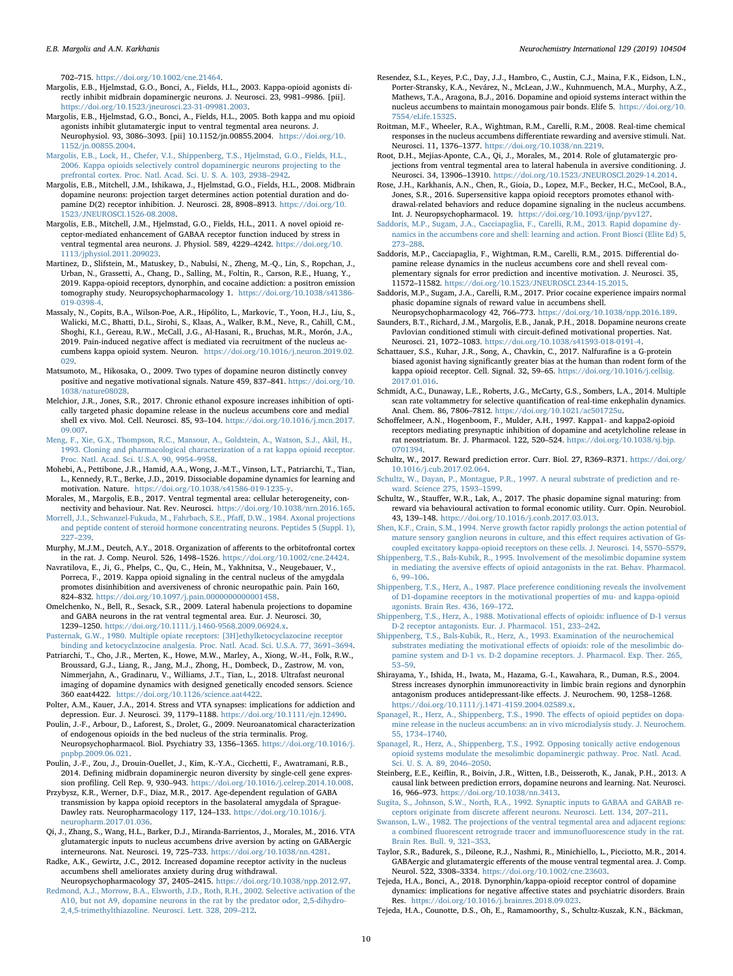702–715. <https://doi.org/10.1002/cne.21464>.

- <span id="page-9-36"></span>Margolis, E.B., Hjelmstad, G.O., Bonci, A., Fields, H.L., 2003. Kappa-opioid agonists directly inhibit midbrain dopaminergic neurons. J. Neurosci. 23, 9981–9986. [pii]. <https://doi.org/10.1523/jneurosci.23-31-09981.2003>.
- <span id="page-9-38"></span>Margolis, E.B., Hjelmstad, G.O., Bonci, A., Fields, H.L., 2005. Both kappa and mu opioid agonists inhibit glutamatergic input to ventral tegmental area neurons. J. Neurophysiol. 93, 3086–3093. [pii] 10.1152/jn.00855.2004. [https://doi.org/10.](https://doi.org/10.1152/jn.00855.2004) [1152/jn.00855.2004](https://doi.org/10.1152/jn.00855.2004).
- <span id="page-9-34"></span>[Margolis, E.B., Lock, H., Chefer, V.I., Shippenberg, T.S., Hjelmstad, G.O., Fields, H.L.,](http://refhub.elsevier.com/S0197-0186(18)30678-8/sref92) [2006. Kappa opioids selectively control dopaminergic neurons projecting to the](http://refhub.elsevier.com/S0197-0186(18)30678-8/sref92) [prefrontal cortex. Proc. Natl. Acad. Sci. U. S. A. 103, 2938](http://refhub.elsevier.com/S0197-0186(18)30678-8/sref92)–2942.
- <span id="page-9-37"></span>Margolis, E.B., Mitchell, J.M., Ishikawa, J., Hjelmstad, G.O., Fields, H.L., 2008. Midbrain dopamine neurons: projection target determines action potential duration and dopamine D(2) receptor inhibition. J. Neurosci. 28, 8908–8913. [https://doi.org/10.](https://doi.org/10.1523/JNEUROSCI.1526-08.2008) [1523/JNEUROSCI.1526-08.2008.](https://doi.org/10.1523/JNEUROSCI.1526-08.2008)
- <span id="page-9-40"></span>Margolis, E.B., Mitchell, J.M., Hjelmstad, G.O., Fields, H.L., 2011. A novel opioid receptor-mediated enhancement of GABAA receptor function induced by stress in ventral tegmental area neurons. J. Physiol. 589, 4229–4242. [https://doi.org/10.](https://doi.org/10.1113/jphysiol.2011.209023) [1113/jphysiol.2011.209023.](https://doi.org/10.1113/jphysiol.2011.209023)
- <span id="page-9-52"></span>Martinez, D., Slifstein, M., Matuskey, D., Nabulsi, N., Zheng, M.-Q., Lin, S., Ropchan, J., Urban, N., Grassetti, A., Chang, D., Salling, M., Foltin, R., Carson, R.E., Huang, Y., 2019. Kappa-opioid receptors, dynorphin, and cocaine addiction: a positron emission tomography study. Neuropsychopharmacology 1. [https://doi.org/10.1038/s41386-](https://doi.org/10.1038/s41386-019-0398-4) [019-0398-4](https://doi.org/10.1038/s41386-019-0398-4).
- <span id="page-9-20"></span>Massaly, N., Copits, B.A., Wilson-Poe, A.R., Hipólito, L., Markovic, T., Yoon, H.J., Liu, S., Walicki, M.C., Bhatti, D.L., Sirohi, S., Klaas, A., Walker, B.M., Neve, R., Cahill, C.M., Shoghi, K.I., Gereau, R.W., McCall, J.G., Al-Hasani, R., Bruchas, M.R., Morón, J.A., 2019. Pain-induced negative affect is mediated via recruitment of the nucleus accumbens kappa opioid system. Neuron. [https://doi.org/10.1016/j.neuron.2019.02.](https://doi.org/10.1016/j.neuron.2019.02.029) [029](https://doi.org/10.1016/j.neuron.2019.02.029).
- <span id="page-9-2"></span>Matsumoto, M., Hikosaka, O., 2009. Two types of dopamine neuron distinctly convey positive and negative motivational signals. Nature 459, 837–841. [https://doi.org/10.](https://doi.org/10.1038/nature08028) [1038/nature08028](https://doi.org/10.1038/nature08028).
- <span id="page-9-16"></span>Melchior, J.R., Jones, S.R., 2017. Chronic ethanol exposure increases inhibition of optically targeted phasic dopamine release in the nucleus accumbens core and medial shell ex vivo. Mol. Cell. Neurosci. 85, 93–104. [https://doi.org/10.1016/j.mcn.2017.](https://doi.org/10.1016/j.mcn.2017.09.007) [09.007](https://doi.org/10.1016/j.mcn.2017.09.007).
- <span id="page-9-15"></span>[Meng, F., Xie, G.X., Thompson, R.C., Mansour, A., Goldstein, A., Watson, S.J., Akil, H.,](http://refhub.elsevier.com/S0197-0186(18)30678-8/sref99) [1993. Cloning and pharmacological characterization of a rat kappa opioid receptor.](http://refhub.elsevier.com/S0197-0186(18)30678-8/sref99) [Proc. Natl. Acad. Sci. U.S.A. 90, 9954](http://refhub.elsevier.com/S0197-0186(18)30678-8/sref99)–9958.
- <span id="page-9-8"></span>Mohebi, A., Pettibone, J.R., Hamid, A.A., Wong, J.-M.T., Vinson, L.T., Patriarchi, T., Tian, L., Kennedy, R.T., Berke, J.D., 2019. Dissociable dopamine dynamics for learning and motivation. Nature. <https://doi.org/10.1038/s41586-019-1235-y>.
- <span id="page-9-48"></span>Morales, M., Margolis, E.B., 2017. Ventral tegmental area: cellular heterogeneity, connectivity and behaviour. Nat. Rev. Neurosci. [https://doi.org/10.1038/nrn.2016.165.](https://doi.org/10.1038/nrn.2016.165)
- <span id="page-9-25"></span>[Morrell, J.I., Schwanzel-Fukuda, M., Fahrbach, S.E., Pfa](http://refhub.elsevier.com/S0197-0186(18)30678-8/sref102)ff, D.W., 1984. Axonal projections [and peptide content of steroid hormone concentrating neurons. Peptides 5 \(Suppl. 1\),](http://refhub.elsevier.com/S0197-0186(18)30678-8/sref102) 227–[239](http://refhub.elsevier.com/S0197-0186(18)30678-8/sref102).
- <span id="page-9-27"></span>Murphy, M.J.M., Deutch, A.Y., 2018. Organization of afferents to the orbitofrontal cortex in the rat. J. Comp. Neurol. 526, 1498–1526. <https://doi.org/10.1002/cne.24424>.
- <span id="page-9-19"></span>Navratilova, E., Ji, G., Phelps, C., Qu, C., Hein, M., Yakhnitsa, V., Neugebauer, V., Porreca, F., 2019. Kappa opioid signaling in the central nucleus of the amygdala promotes disinhibition and aversiveness of chronic neuropathic pain. Pain 160, 824–832. <https://doi.org/10.1097/j.pain.0000000000001458>.
- <span id="page-9-3"></span>Omelchenko, N., Bell, R., Sesack, S.R., 2009. Lateral habenula projections to dopamine and GABA neurons in the rat ventral tegmental area. Eur. J. Neurosci. 30, 1239–1250. <https://doi.org/10.1111/j.1460-9568.2009.06924.x>.
- <span id="page-9-18"></span>[Pasternak, G.W., 1980. Multiple opiate receptors: \[3H\]ethylketocyclazocine receptor](http://refhub.elsevier.com/S0197-0186(18)30678-8/sref106) [binding and ketocyclazocine analgesia. Proc. Natl. Acad. Sci. U.S.A. 77, 3691](http://refhub.elsevier.com/S0197-0186(18)30678-8/sref106)–3694.
- <span id="page-9-51"></span>Patriarchi, T., Cho, J.R., Merten, K., Howe, M.W., Marley, A., Xiong, W.-H., Folk, R.W., Broussard, G.J., Liang, R., Jang, M.J., Zhong, H., Dombeck, D., Zastrow, M. von, Nimmerjahn, A., Gradinaru, V., Williams, J.T., Tian, L., 2018. Ultrafast neuronal imaging of dopamine dynamics with designed genetically encoded sensors. Science 360 eaat4422. [https://doi.org/10.1126/science.aat4422.](https://doi.org/10.1126/science.aat4422)
- <span id="page-9-23"></span>Polter, A.M., Kauer, J.A., 2014. Stress and VTA synapses: implications for addiction and depression. Eur. J. Neurosci. 39, 1179–1188. [https://doi.org/10.1111/ejn.12490.](https://doi.org/10.1111/ejn.12490)
- <span id="page-9-26"></span>Poulin, J.-F., Arbour, D., Laforest, S., Drolet, G., 2009. Neuroanatomical characterization of endogenous opioids in the bed nucleus of the stria terminalis. Prog. Neuropsychopharmacol. Biol. Psychiatry 33, 1356–1365. [https://doi.org/10.1016/j.](https://doi.org/10.1016/j.pnpbp.2009.06.021) [pnpbp.2009.06.021](https://doi.org/10.1016/j.pnpbp.2009.06.021).
- <span id="page-9-49"></span>Poulin, J.-F., Zou, J., Drouin-Ouellet, J., Kim, K.-Y.A., Cicchetti, F., Awatramani, R.B., 2014. Defining midbrain dopaminergic neuron diversity by single-cell gene expression profiling. Cell Rep. 9, 930–943. [https://doi.org/10.1016/j.celrep.2014.10.008.](https://doi.org/10.1016/j.celrep.2014.10.008)
- <span id="page-9-47"></span>Przybysz, K.R., Werner, D.F., Diaz, M.R., 2017. Age-dependent regulation of GABA transmission by kappa opioid receptors in the basolateral amygdala of Sprague-Dawley rats. Neuropharmacology 117, 124–133. [https://doi.org/10.1016/j.](https://doi.org/10.1016/j.neuropharm.2017.01.036) [neuropharm.2017.01.036.](https://doi.org/10.1016/j.neuropharm.2017.01.036)
- <span id="page-9-13"></span>Qi, J., Zhang, S., Wang, H.L., Barker, D.J., Miranda-Barrientos, J., Morales, M., 2016. VTA glutamatergic inputs to nucleus accumbens drive aversion by acting on GABAergic interneurons. Nat. Neurosci. 19, 725–733. [https://doi.org/10.1038/nn.4281.](https://doi.org/10.1038/nn.4281)
- <span id="page-9-41"></span>Radke, A.K., Gewirtz, J.C., 2012. Increased dopamine receptor activity in the nucleus accumbens shell ameliorates anxiety during drug withdrawal.
- <span id="page-9-4"></span>Neuropsychopharmacology 37, 2405–2415. <https://doi.org/10.1038/npp.2012.97>. [Redmond, A.J., Morrow, B.A., Elsworth, J.D., Roth, R.H., 2002. Selective activation of the](http://refhub.elsevier.com/S0197-0186(18)30678-8/sref114) [A10, but not A9, dopamine neurons in the rat by the predator odor, 2,5-dihydro-](http://refhub.elsevier.com/S0197-0186(18)30678-8/sref114)[2,4,5-trimethylthiazoline. Neurosci. Lett. 328, 209](http://refhub.elsevier.com/S0197-0186(18)30678-8/sref114)–212.
- <span id="page-9-46"></span>Resendez, S.L., Keyes, P.C., Day, J.J., Hambro, C., Austin, C.J., Maina, F.K., Eidson, L.N., Porter-Stransky, K.A., Nevárez, N., McLean, J.W., Kuhnmuench, M.A., Murphy, A.Z., Mathews, T.A., Aragona, B.J., 2016. Dopamine and opioid systems interact within the nucleus accumbens to maintain monogamous pair bonds. Elife 5. [https://doi.org/10.](https://doi.org/10.7554/eLife.15325) [7554/eLife.15325](https://doi.org/10.7554/eLife.15325).
- <span id="page-9-1"></span>Roitman, M.F., Wheeler, R.A., Wightman, R.M., Carelli, R.M., 2008. Real-time chemical responses in the nucleus accumbens differentiate rewarding and aversive stimuli. Nat. Neurosci. 11, 1376–1377. <https://doi.org/10.1038/nn.2219>.
- <span id="page-9-14"></span>Root, D.H., Mejias-Aponte, C.A., Qi, J., Morales, M., 2014. Role of glutamatergic projections from ventral tegmental area to lateral habenula in aversive conditioning. J. Neurosci. 34, 13906–13910. [https://doi.org/10.1523/JNEUROSCI.2029-14.2014.](https://doi.org/10.1523/JNEUROSCI.2029-14.2014)
- <span id="page-9-17"></span>Rose, J.H., Karkhanis, A.N., Chen, R., Gioia, D., Lopez, M.F., Becker, H.C., McCool, B.A., Jones, S.R., 2016. Supersensitive kappa opioid receptors promotes ethanol withdrawal-related behaviors and reduce dopamine signaling in the nucleus accumbens. Int. J. Neuropsychopharmacol. 19. <https://doi.org/10.1093/ijnp/pyv127>.
- <span id="page-9-43"></span>[Saddoris, M.P., Sugam, J.A., Cacciapaglia, F., Carelli, R.M., 2013. Rapid dopamine dy](http://refhub.elsevier.com/S0197-0186(18)30678-8/sref119)[namics in the accumbens core and shell: learning and action. Front Biosci \(Elite Ed\) 5,](http://refhub.elsevier.com/S0197-0186(18)30678-8/sref119) 273–[288](http://refhub.elsevier.com/S0197-0186(18)30678-8/sref119).
- <span id="page-9-45"></span>Saddoris, M.P., Cacciapaglia, F., Wightman, R.M., Carelli, R.M., 2015. Differential dopamine release dynamics in the nucleus accumbens core and shell reveal complementary signals for error prediction and incentive motivation. J. Neurosci. 35, 11572–11582. [https://doi.org/10.1523/JNEUROSCI.2344-15.2015.](https://doi.org/10.1523/JNEUROSCI.2344-15.2015)
- <span id="page-9-42"></span>Saddoris, M.P., Sugam, J.A., Carelli, R.M., 2017. Prior cocaine experience impairs normal phasic dopamine signals of reward value in accumbens shell.
- <span id="page-9-7"></span>Neuropsychopharmacology 42, 766–773. [https://doi.org/10.1038/npp.2016.189.](https://doi.org/10.1038/npp.2016.189) Saunders, B.T., Richard, J.M., Margolis, E.B., Janak, P.H., 2018. Dopamine neurons create Pavlovian conditioned stimuli with circuit-defined motivational properties. Nat. Neurosci. 21, 1072–1083. <https://doi.org/10.1038/s41593-018-0191-4>.
- <span id="page-9-21"></span>Schattauer, S.S., Kuhar, J.R., Song, A., Chavkin, C., 2017. Nalfurafine is a G-protein biased agonist having significantly greater bias at the human than rodent form of the kappa opioid receptor. Cell. Signal. 32, 59–65. [https://doi.org/10.1016/j.cellsig.](https://doi.org/10.1016/j.cellsig.2017.01.016) [2017.01.016](https://doi.org/10.1016/j.cellsig.2017.01.016).
- <span id="page-9-50"></span>Schmidt, A.C., Dunaway, L.E., Roberts, J.G., McCarty, G.S., Sombers, L.A., 2014. Multiple scan rate voltammetry for selective quantification of real-time enkephalin dynamics. Anal. Chem. 86, 7806–7812. [https://doi.org/10.1021/ac501725u.](https://doi.org/10.1021/ac501725u)
- <span id="page-9-44"></span>Schoffelmeer, A.N., Hogenboom, F., Mulder, A.H., 1997. Kappa1- and kappa2-opioid receptors mediating presynaptic inhibition of dopamine and acetylcholine release in rat neostriatum. Br. J. Pharmacol. 122, 520–524. [https://doi.org/10.1038/sj.bjp.](https://doi.org/10.1038/sj.bjp.0701394) [0701394.](https://doi.org/10.1038/sj.bjp.0701394)
- <span id="page-9-0"></span>Schultz, W., 2017. Reward prediction error. Curr. Biol. 27, R369–R371. [https://doi.org/](https://doi.org/10.1016/j.cub.2017.02.064) [10.1016/j.cub.2017.02.064](https://doi.org/10.1016/j.cub.2017.02.064).
- <span id="page-9-6"></span>[Schultz, W., Dayan, P., Montague, P.R., 1997. A neural substrate of prediction and re](http://refhub.elsevier.com/S0197-0186(18)30678-8/sref127)[ward. Science 275, 1593](http://refhub.elsevier.com/S0197-0186(18)30678-8/sref127)–1599.
- <span id="page-9-10"></span>Schultz, W., Stauffer, W.R., Lak, A., 2017. The phasic dopamine signal maturing: from reward via behavioural activation to formal economic utility. Curr. Opin. Neurobiol. 43, 139–148. [https://doi.org/10.1016/j.conb.2017.03.013.](https://doi.org/10.1016/j.conb.2017.03.013)
- <span id="page-9-22"></span>[Shen, K.F., Crain, S.M., 1994. Nerve growth factor rapidly prolongs the action potential of](http://refhub.elsevier.com/S0197-0186(18)30678-8/sref129) [mature sensory ganglion neurons in culture, and this e](http://refhub.elsevier.com/S0197-0186(18)30678-8/sref129)ffect requires activation of Gs[coupled excitatory kappa-opioid receptors on these cells. J. Neurosci. 14, 5570](http://refhub.elsevier.com/S0197-0186(18)30678-8/sref129)–5579.
- <span id="page-9-5"></span>[Shippenberg, T.S., Bals-Kubik, R., 1995. Involvement of the mesolimbic dopamine system](http://refhub.elsevier.com/S0197-0186(18)30678-8/sref130) in mediating the aversive effects [of opioid antagonists in the rat. Behav. Pharmacol.](http://refhub.elsevier.com/S0197-0186(18)30678-8/sref130) [6, 99](http://refhub.elsevier.com/S0197-0186(18)30678-8/sref130)–106.
- <span id="page-9-29"></span>[Shippenberg, T.S., Herz, A., 1987. Place preference conditioning reveals the involvement](http://refhub.elsevier.com/S0197-0186(18)30678-8/sref131) [of D1-dopamine receptors in the motivational properties of mu- and kappa-opioid](http://refhub.elsevier.com/S0197-0186(18)30678-8/sref131) [agonists. Brain Res. 436, 169](http://refhub.elsevier.com/S0197-0186(18)30678-8/sref131)–172.
- <span id="page-9-33"></span>[Shippenberg, T.S., Herz, A., 1988. Motivational e](http://refhub.elsevier.com/S0197-0186(18)30678-8/sref132)ffects of opioids: influence of D-1 versus [D-2 receptor antagonists. Eur. J. Pharmacol. 151, 233](http://refhub.elsevier.com/S0197-0186(18)30678-8/sref132)–242.
- <span id="page-9-32"></span>[Shippenberg, T.S., Bals-Kubik, R., Herz, A., 1993. Examination of the neurochemical](http://refhub.elsevier.com/S0197-0186(18)30678-8/sref133) substrates mediating the motivational eff[ects of opioids: role of the mesolimbic do](http://refhub.elsevier.com/S0197-0186(18)30678-8/sref133)[pamine system and D-1 vs. D-2 dopamine receptors. J. Pharmacol. Exp. Ther. 265,](http://refhub.elsevier.com/S0197-0186(18)30678-8/sref133) 53–[59](http://refhub.elsevier.com/S0197-0186(18)30678-8/sref133).
- <span id="page-9-28"></span>Shirayama, Y., Ishida, H., Iwata, M., Hazama, G.-I., Kawahara, R., Duman, R.S., 2004. Stress increases dynorphin immunoreactivity in limbic brain regions and dynorphin antagonism produces antidepressant-like effects. J. Neurochem. 90, 1258–1268. [https://doi.org/10.1111/j.1471-4159.2004.02589.x.](https://doi.org/10.1111/j.1471-4159.2004.02589.x)
- <span id="page-9-30"></span>[Spanagel, R., Herz, A., Shippenberg, T.S., 1990. The e](http://refhub.elsevier.com/S0197-0186(18)30678-8/sref135)ffects of opioid peptides on dopa[mine release in the nucleus accumbens: an in vivo microdialysis study. J. Neurochem.](http://refhub.elsevier.com/S0197-0186(18)30678-8/sref135) [55, 1734](http://refhub.elsevier.com/S0197-0186(18)30678-8/sref135)–1740.
- <span id="page-9-31"></span>[Spanagel, R., Herz, A., Shippenberg, T.S., 1992. Opposing tonically active endogenous](http://refhub.elsevier.com/S0197-0186(18)30678-8/sref136) [opioid systems modulate the mesolimbic dopaminergic pathway. Proc. Natl. Acad.](http://refhub.elsevier.com/S0197-0186(18)30678-8/sref136) [Sci. U. S. A. 89, 2046](http://refhub.elsevier.com/S0197-0186(18)30678-8/sref136)–2050.
- <span id="page-9-9"></span>Steinberg, E.E., Keiflin, R., Boivin, J.R., Witten, I.B., Deisseroth, K., Janak, P.H., 2013. A causal link between prediction errors, dopamine neurons and learning. Nat. Neurosci. 16, 966–973. <https://doi.org/10.1038/nn.3413>.
- <span id="page-9-39"></span>[Sugita, S., Johnson, S.W., North, R.A., 1992. Synaptic inputs to GABAA and GABAB re](http://refhub.elsevier.com/S0197-0186(18)30678-8/sref138)ceptors originate from discrete aff[erent neurons. Neurosci. Lett. 134, 207](http://refhub.elsevier.com/S0197-0186(18)30678-8/sref138)–211.
- <span id="page-9-11"></span>[Swanson, L.W., 1982. The projections of the ventral tegmental area and adjacent regions:](http://refhub.elsevier.com/S0197-0186(18)30678-8/sref139) a combined fl[uorescent retrograde tracer and immuno](http://refhub.elsevier.com/S0197-0186(18)30678-8/sref139)fluorescence study in the rat. [Brain Res. Bull. 9, 321](http://refhub.elsevier.com/S0197-0186(18)30678-8/sref139)–353.
- <span id="page-9-12"></span>Taylor, S.R., Badurek, S., Dileone, R.J., Nashmi, R., Minichiello, L., Picciotto, M.R., 2014. GABAergic and glutamatergic efferents of the mouse ventral tegmental area. J. Comp. Neurol. 522, 3308–3334. <https://doi.org/10.1002/cne.23603>.
- <span id="page-9-24"></span>Tejeda, H.A., Bonci, A., 2018. Dynorphin/kappa-opioid receptor control of dopamine dynamics: implications for negative affective states and psychiatric disorders. Brain Res. <https://doi.org/10.1016/j.brainres.2018.09.023>.
- <span id="page-9-35"></span>Tejeda, H.A., Counotte, D.S., Oh, E., Ramamoorthy, S., Schultz-Kuszak, K.N., Bäckman,